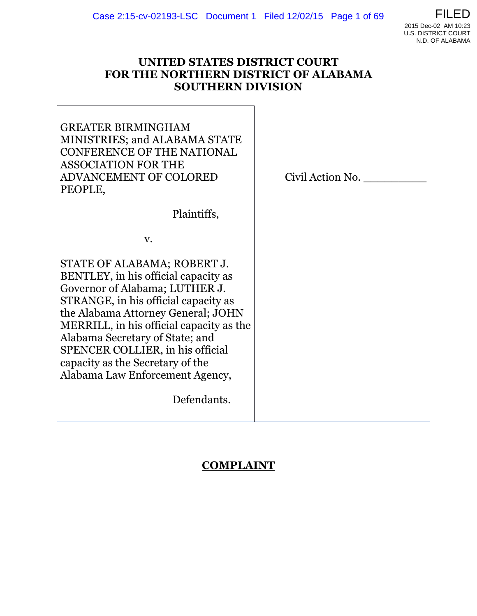

#### **UNITED STATES DISTRICT COURT FOR THE NORTHERN DISTRICT OF ALABAMA SOUTHERN DIVISION**

GREATER BIRMINGHAM MINISTRIES; and ALABAMA STATE CONFERENCE OF THE NATIONAL ASSOCIATION FOR THE ADVANCEMENT OF COLORED PEOPLE,

Plaintiffs,

v.

STATE OF ALABAMA; ROBERT J. BENTLEY, in his official capacity as Governor of Alabama; LUTHER J. STRANGE, in his official capacity as the Alabama Attorney General; JOHN MERRILL, in his official capacity as the Alabama Secretary of State; and SPENCER COLLIER, in his official capacity as the Secretary of the Alabama Law Enforcement Agency,

Defendants.

Civil Action No. \_\_\_\_\_\_\_\_\_

# **COMPLAINT**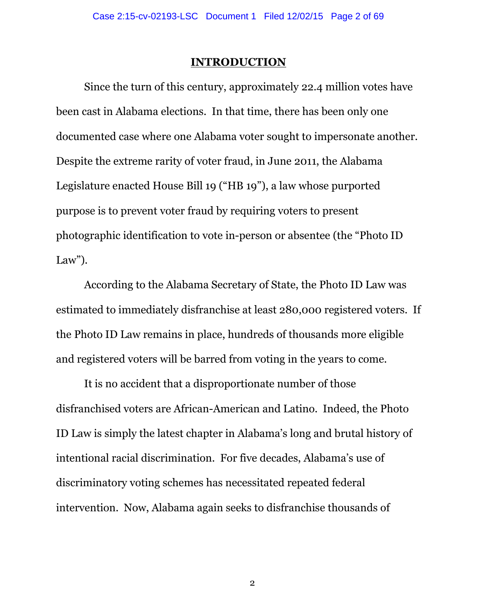#### **INTRODUCTION**

Since the turn of this century, approximately 22.4 million votes have been cast in Alabama elections. In that time, there has been only one documented case where one Alabama voter sought to impersonate another. Despite the extreme rarity of voter fraud, in June 2011, the Alabama Legislature enacted House Bill 19 ("HB 19"), a law whose purported purpose is to prevent voter fraud by requiring voters to present photographic identification to vote in-person or absentee (the "Photo ID Law").

According to the Alabama Secretary of State, the Photo ID Law was estimated to immediately disfranchise at least 280,000 registered voters. If the Photo ID Law remains in place, hundreds of thousands more eligible and registered voters will be barred from voting in the years to come.

It is no accident that a disproportionate number of those disfranchised voters are African-American and Latino. Indeed, the Photo ID Law is simply the latest chapter in Alabama's long and brutal history of intentional racial discrimination. For five decades, Alabama's use of discriminatory voting schemes has necessitated repeated federal intervention. Now, Alabama again seeks to disfranchise thousands of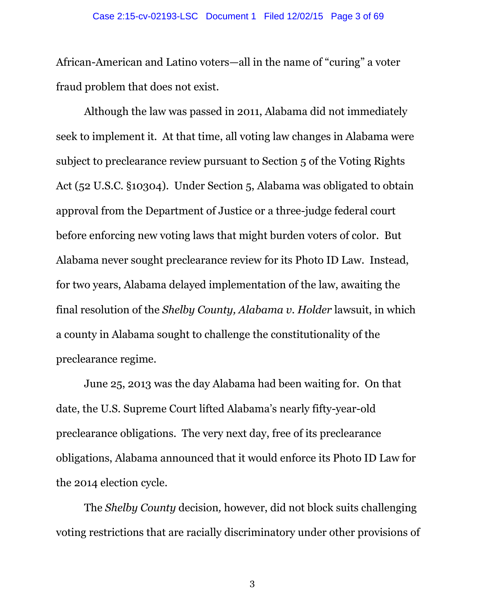African-American and Latino voters—all in the name of "curing" a voter fraud problem that does not exist.

Although the law was passed in 2011, Alabama did not immediately seek to implement it. At that time, all voting law changes in Alabama were subject to preclearance review pursuant to Section 5 of the Voting Rights Act (52 U.S.C. §10304). Under Section 5, Alabama was obligated to obtain approval from the Department of Justice or a three-judge federal court before enforcing new voting laws that might burden voters of color. But Alabama never sought preclearance review for its Photo ID Law. Instead, for two years, Alabama delayed implementation of the law, awaiting the final resolution of the *Shelby County, Alabama v. Holder* lawsuit, in which a county in Alabama sought to challenge the constitutionality of the preclearance regime.

June 25, 2013 was the day Alabama had been waiting for. On that date, the U.S. Supreme Court lifted Alabama's nearly fifty-year-old preclearance obligations. The very next day, free of its preclearance obligations, Alabama announced that it would enforce its Photo ID Law for the 2014 election cycle.

The *Shelby County* decision*,* however, did not block suits challenging voting restrictions that are racially discriminatory under other provisions of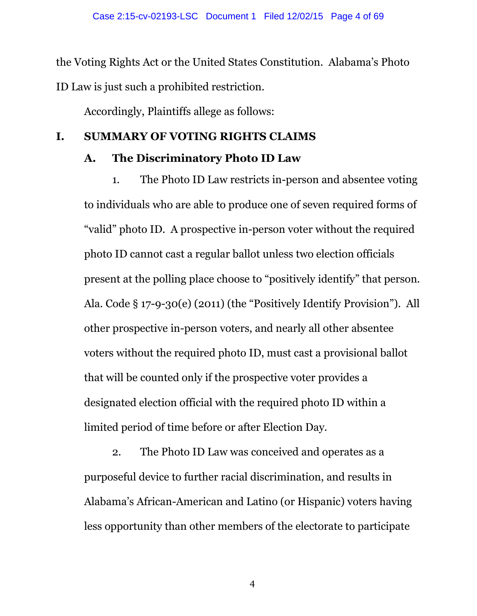the Voting Rights Act or the United States Constitution. Alabama's Photo ID Law is just such a prohibited restriction.

Accordingly, Plaintiffs allege as follows:

## **I. SUMMARY OF VOTING RIGHTS CLAIMS**

# **A. The Discriminatory Photo ID Law**

1. The Photo ID Law restricts in-person and absentee voting to individuals who are able to produce one of seven required forms of "valid" photo ID. A prospective in-person voter without the required photo ID cannot cast a regular ballot unless two election officials present at the polling place choose to "positively identify" that person. Ala. Code § 17-9-30(e) (2011) (the "Positively Identify Provision"). All other prospective in-person voters, and nearly all other absentee voters without the required photo ID, must cast a provisional ballot that will be counted only if the prospective voter provides a designated election official with the required photo ID within a limited period of time before or after Election Day.

2. The Photo ID Law was conceived and operates as a purposeful device to further racial discrimination, and results in Alabama's African-American and Latino (or Hispanic) voters having less opportunity than other members of the electorate to participate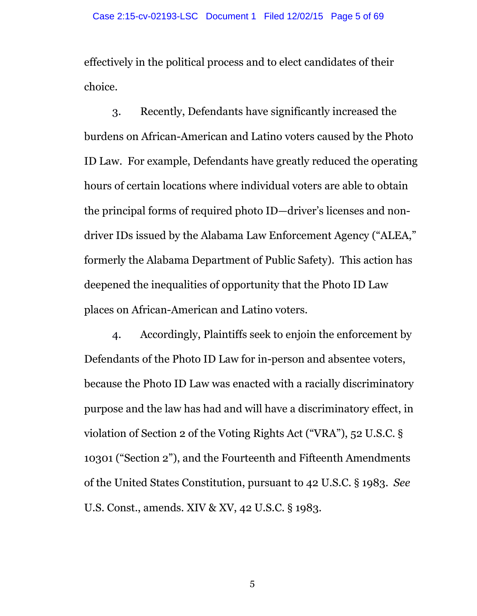effectively in the political process and to elect candidates of their choice.

3. Recently, Defendants have significantly increased the burdens on African-American and Latino voters caused by the Photo ID Law. For example, Defendants have greatly reduced the operating hours of certain locations where individual voters are able to obtain the principal forms of required photo ID—driver's licenses and nondriver IDs issued by the Alabama Law Enforcement Agency ("ALEA," formerly the Alabama Department of Public Safety). This action has deepened the inequalities of opportunity that the Photo ID Law places on African-American and Latino voters.

4. Accordingly, Plaintiffs seek to enjoin the enforcement by Defendants of the Photo ID Law for in-person and absentee voters, because the Photo ID Law was enacted with a racially discriminatory purpose and the law has had and will have a discriminatory effect, in violation of Section 2 of the Voting Rights Act ("VRA"), 52 U.S.C. § 10301 ("Section 2"), and the Fourteenth and Fifteenth Amendments of the United States Constitution, pursuant to 42 U.S.C. § 1983. *See* U.S. Const., amends. XIV & XV, 42 U.S.C. § 1983.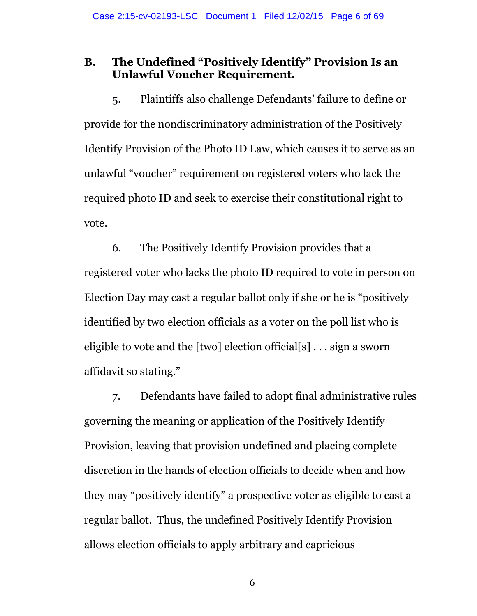#### **B. The Undefined "Positively Identify" Provision Is an Unlawful Voucher Requirement.**

5. Plaintiffs also challenge Defendants' failure to define or provide for the nondiscriminatory administration of the Positively Identify Provision of the Photo ID Law, which causes it to serve as an unlawful "voucher" requirement on registered voters who lack the required photo ID and seek to exercise their constitutional right to vote.

6. The Positively Identify Provision provides that a registered voter who lacks the photo ID required to vote in person on Election Day may cast a regular ballot only if she or he is "positively identified by two election officials as a voter on the poll list who is eligible to vote and the [two] election official[s] . . . sign a sworn affidavit so stating."

7. Defendants have failed to adopt final administrative rules governing the meaning or application of the Positively Identify Provision, leaving that provision undefined and placing complete discretion in the hands of election officials to decide when and how they may "positively identify" a prospective voter as eligible to cast a regular ballot. Thus, the undefined Positively Identify Provision allows election officials to apply arbitrary and capricious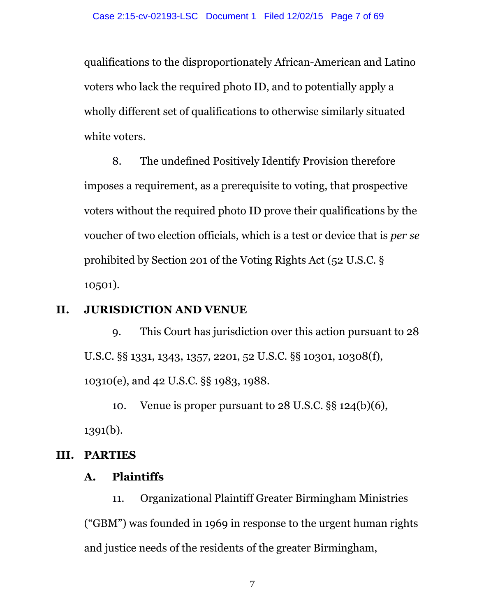qualifications to the disproportionately African-American and Latino voters who lack the required photo ID, and to potentially apply a wholly different set of qualifications to otherwise similarly situated white voters.

8. The undefined Positively Identify Provision therefore imposes a requirement, as a prerequisite to voting, that prospective voters without the required photo ID prove their qualifications by the voucher of two election officials, which is a test or device that is *per se* prohibited by Section 201 of the Voting Rights Act (52 U.S.C. § 10501).

## **II. JURISDICTION AND VENUE**

9. This Court has jurisdiction over this action pursuant to 28 U.S.C. §§ 1331, 1343, 1357, 2201, 52 U.S.C. §§ 10301, 10308(f), 10310(e), and 42 U.S.C. §§ 1983, 1988.

10. Venue is proper pursuant to 28 U.S.C. §§ 124(b)(6), 1391(b).

# **III. PARTIES**

## **A. Plaintiffs**

11. Organizational Plaintiff Greater Birmingham Ministries ("GBM") was founded in 1969 in response to the urgent human rights and justice needs of the residents of the greater Birmingham,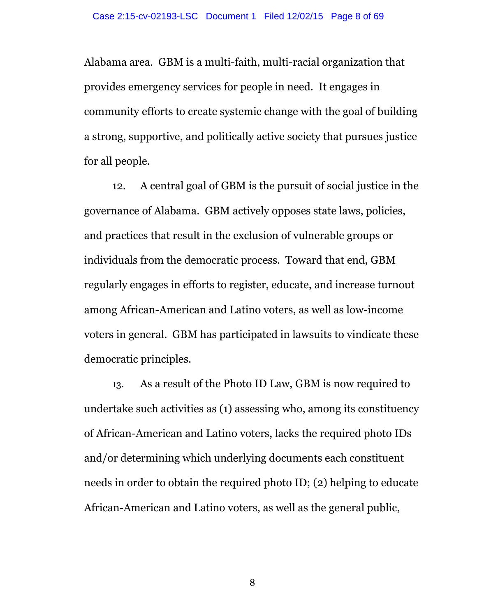Alabama area. GBM is a multi-faith, multi-racial organization that provides emergency services for people in need. It engages in community efforts to create systemic change with the goal of building a strong, supportive, and politically active society that pursues justice for all people.

12. A central goal of GBM is the pursuit of social justice in the governance of Alabama. GBM actively opposes state laws, policies, and practices that result in the exclusion of vulnerable groups or individuals from the democratic process. Toward that end, GBM regularly engages in efforts to register, educate, and increase turnout among African-American and Latino voters, as well as low-income voters in general. GBM has participated in lawsuits to vindicate these democratic principles.

13. As a result of the Photo ID Law, GBM is now required to undertake such activities as (1) assessing who, among its constituency of African-American and Latino voters, lacks the required photo IDs and/or determining which underlying documents each constituent needs in order to obtain the required photo ID; (2) helping to educate African-American and Latino voters, as well as the general public,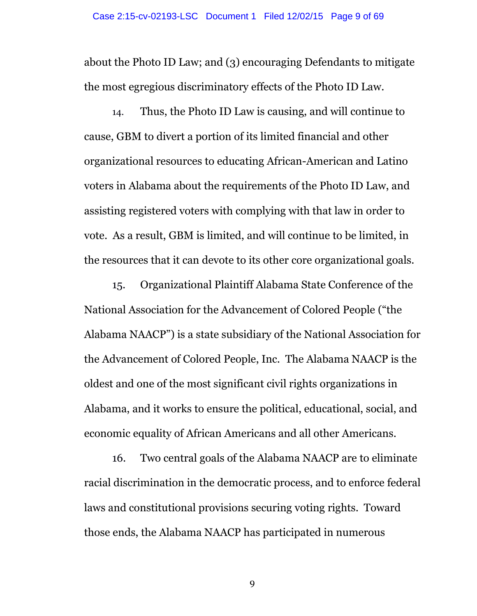about the Photo ID Law; and (3) encouraging Defendants to mitigate the most egregious discriminatory effects of the Photo ID Law.

14. Thus, the Photo ID Law is causing, and will continue to cause, GBM to divert a portion of its limited financial and other organizational resources to educating African-American and Latino voters in Alabama about the requirements of the Photo ID Law, and assisting registered voters with complying with that law in order to vote. As a result, GBM is limited, and will continue to be limited, in the resources that it can devote to its other core organizational goals.

15. Organizational Plaintiff Alabama State Conference of the National Association for the Advancement of Colored People ("the Alabama NAACP") is a state subsidiary of the National Association for the Advancement of Colored People, Inc. The Alabama NAACP is the oldest and one of the most significant civil rights organizations in Alabama, and it works to ensure the political, educational, social, and economic equality of African Americans and all other Americans.

16. Two central goals of the Alabama NAACP are to eliminate racial discrimination in the democratic process, and to enforce federal laws and constitutional provisions securing voting rights. Toward those ends, the Alabama NAACP has participated in numerous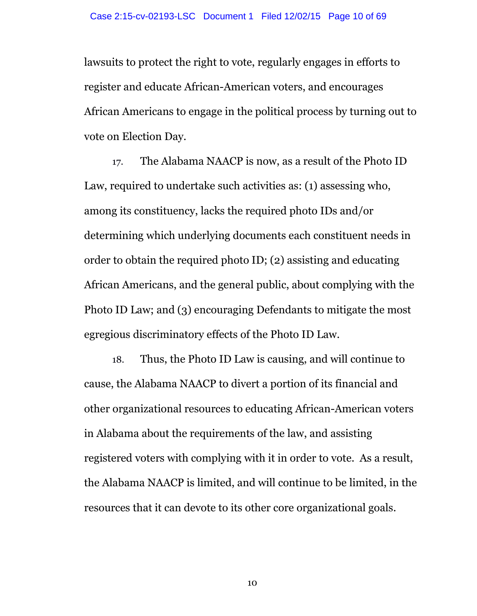lawsuits to protect the right to vote, regularly engages in efforts to register and educate African-American voters, and encourages African Americans to engage in the political process by turning out to vote on Election Day.

17. The Alabama NAACP is now, as a result of the Photo ID Law, required to undertake such activities as: (1) assessing who, among its constituency, lacks the required photo IDs and/or determining which underlying documents each constituent needs in order to obtain the required photo ID; (2) assisting and educating African Americans, and the general public, about complying with the Photo ID Law; and (3) encouraging Defendants to mitigate the most egregious discriminatory effects of the Photo ID Law.

18. Thus, the Photo ID Law is causing, and will continue to cause, the Alabama NAACP to divert a portion of its financial and other organizational resources to educating African-American voters in Alabama about the requirements of the law, and assisting registered voters with complying with it in order to vote. As a result, the Alabama NAACP is limited, and will continue to be limited, in the resources that it can devote to its other core organizational goals.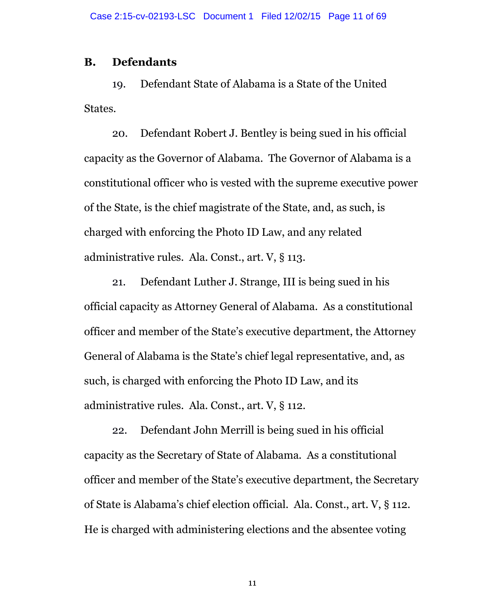#### **B. Defendants**

19. Defendant State of Alabama is a State of the United States.

20. Defendant Robert J. Bentley is being sued in his official capacity as the Governor of Alabama. The Governor of Alabama is a constitutional officer who is vested with the supreme executive power of the State, is the chief magistrate of the State, and, as such, is charged with enforcing the Photo ID Law, and any related administrative rules. Ala. Const., art. V, § 113.

21. Defendant Luther J. Strange, III is being sued in his official capacity as Attorney General of Alabama. As a constitutional officer and member of the State's executive department, the Attorney General of Alabama is the State's chief legal representative, and, as such, is charged with enforcing the Photo ID Law, and its administrative rules. Ala. Const., art. V, § 112.

22. Defendant John Merrill is being sued in his official capacity as the Secretary of State of Alabama. As a constitutional officer and member of the State's executive department, the Secretary of State is Alabama's chief election official. Ala. Const., art. V, § 112. He is charged with administering elections and the absentee voting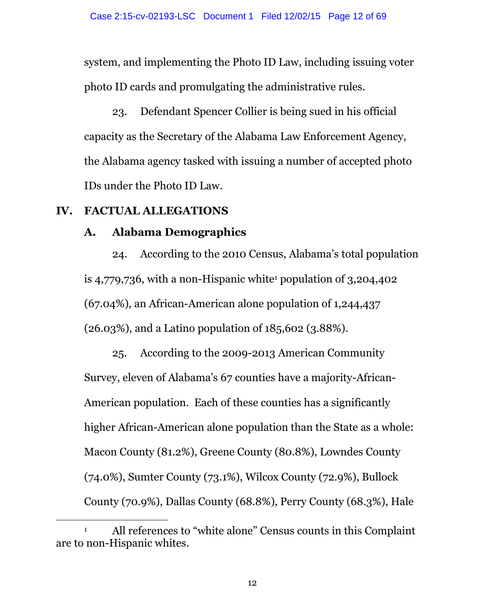system, and implementing the Photo ID Law, including issuing voter photo ID cards and promulgating the administrative rules.

23. Defendant Spencer Collier is being sued in his official capacity as the Secretary of the Alabama Law Enforcement Agency, the Alabama agency tasked with issuing a number of accepted photo IDs under the Photo ID Law.

#### **IV. FACTUAL ALLEGATIONS**

 $\overline{a}$ 

#### **A. Alabama Demographics**

24. According to the 2010 Census, Alabama's total population is 4,779,736, with a non-Hispanic white <sup>1</sup> population of 3,204,402 (67.04%), an African-American alone population of 1,244,437 (26.03%), and a Latino population of 185,602 (3.88%).

25. According to the 2009-2013 American Community Survey, eleven of Alabama's 67 counties have a majority-African-American population. Each of these counties has a significantly higher African-American alone population than the State as a whole: Macon County (81.2%), Greene County (80.8%), Lowndes County (74.0%), Sumter County (73.1%), Wilcox County (72.9%), Bullock County (70.9%), Dallas County (68.8%), Perry County (68.3%), Hale

<sup>&</sup>lt;sup>1</sup> All references to "white alone" Census counts in this Complaint are to non-Hispanic whites.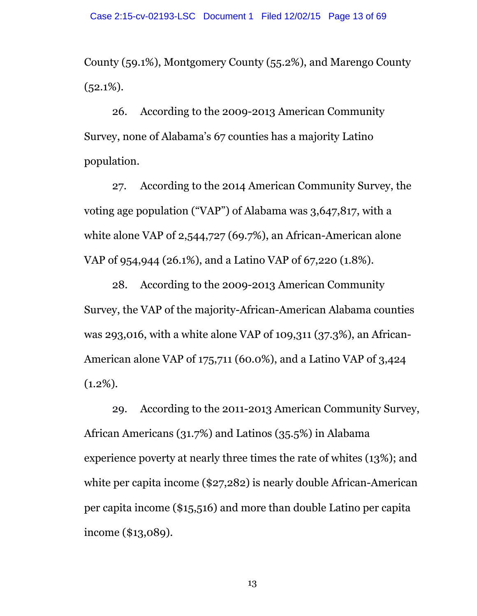County (59.1%), Montgomery County (55.2%), and Marengo County  $(52.1\%)$ .

26. According to the 2009-2013 American Community Survey, none of Alabama's 67 counties has a majority Latino population.

27. According to the 2014 American Community Survey, the voting age population ("VAP") of Alabama was 3,647,817, with a white alone VAP of 2,544,727 (69.7%), an African-American alone VAP of 954,944 (26.1%), and a Latino VAP of 67,220 (1.8%).

28. According to the 2009-2013 American Community Survey, the VAP of the majority-African-American Alabama counties was 293,016, with a white alone VAP of 109,311 (37.3%), an African-American alone VAP of 175,711 (60.0%), and a Latino VAP of 3,424  $(1.2\%).$ 

29. According to the 2011-2013 American Community Survey, African Americans (31.7%) and Latinos (35.5%) in Alabama experience poverty at nearly three times the rate of whites (13%); and white per capita income (\$27,282) is nearly double African-American per capita income (\$15,516) and more than double Latino per capita income (\$13,089).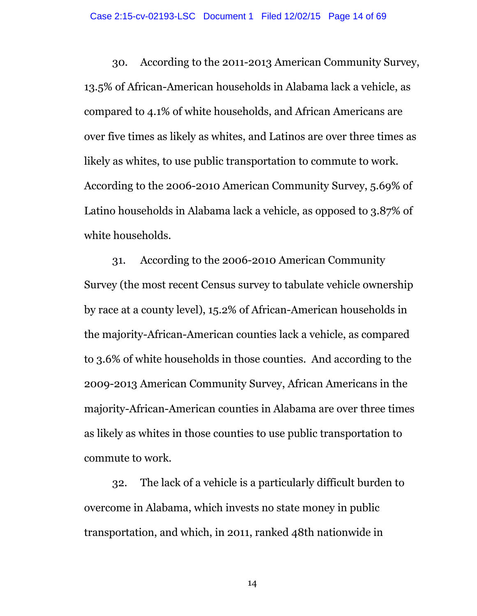30. According to the 2011-2013 American Community Survey, 13.5% of African-American households in Alabama lack a vehicle, as compared to 4.1% of white households, and African Americans are over five times as likely as whites, and Latinos are over three times as likely as whites, to use public transportation to commute to work. According to the 2006-2010 American Community Survey, 5.69% of Latino households in Alabama lack a vehicle, as opposed to 3.87% of white households.

31. According to the 2006-2010 American Community Survey (the most recent Census survey to tabulate vehicle ownership by race at a county level), 15.2% of African-American households in the majority-African-American counties lack a vehicle, as compared to 3.6% of white households in those counties. And according to the 2009-2013 American Community Survey, African Americans in the majority-African-American counties in Alabama are over three times as likely as whites in those counties to use public transportation to commute to work.

32. The lack of a vehicle is a particularly difficult burden to overcome in Alabama, which invests no state money in public transportation, and which, in 2011, ranked 48th nationwide in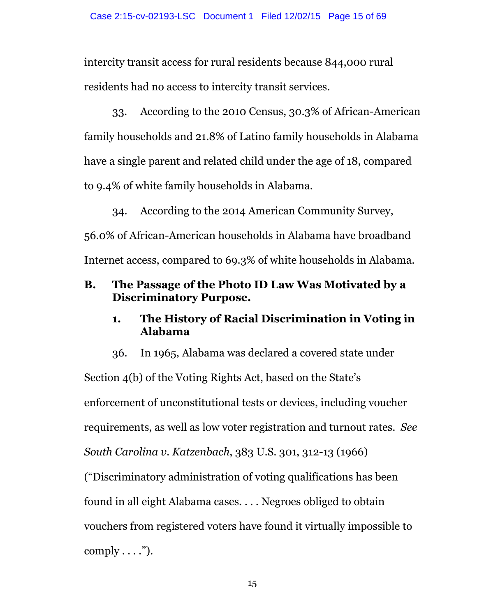intercity transit access for rural residents because 844,000 rural residents had no access to intercity transit services.

33. According to the 2010 Census, 30.3% of African-American family households and 21.8% of Latino family households in Alabama have a single parent and related child under the age of 18, compared to 9.4% of white family households in Alabama.

34. According to the 2014 American Community Survey, 56.0% of African-American households in Alabama have broadband Internet access, compared to 69.3% of white households in Alabama.

## **B. The Passage of the Photo ID Law Was Motivated by a Discriminatory Purpose.**

## **1. The History of Racial Discrimination in Voting in Alabama**

36. In 1965, Alabama was declared a covered state under Section 4(b) of the Voting Rights Act, based on the State's enforcement of unconstitutional tests or devices, including voucher requirements, as well as low voter registration and turnout rates. *See South Carolina v. Katzenbach*, 383 U.S. 301, 312-13 (1966) ("Discriminatory administration of voting qualifications has been found in all eight Alabama cases. . . . Negroes obliged to obtain vouchers from registered voters have found it virtually impossible to comply  $\dots$ ").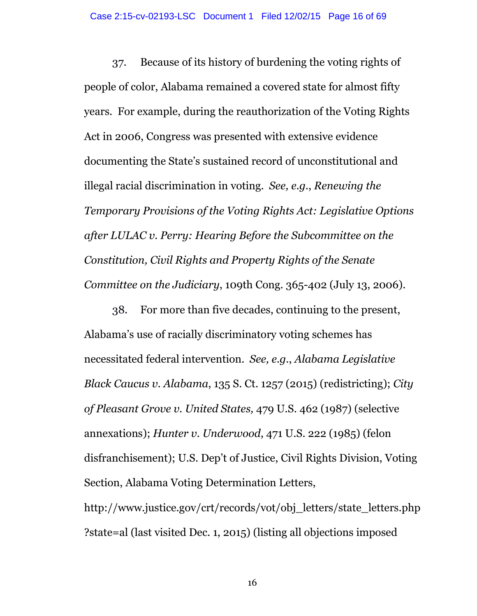37. Because of its history of burdening the voting rights of people of color, Alabama remained a covered state for almost fifty years. For example, during the reauthorization of the Voting Rights Act in 2006, Congress was presented with extensive evidence documenting the State's sustained record of unconstitutional and illegal racial discrimination in voting. *See, e.g.*, *Renewing the Temporary Provisions of the Voting Rights Act: Legislative Options after LULAC v. Perry: Hearing Before the Subcommittee on the Constitution, Civil Rights and Property Rights of the Senate Committee on the Judiciary*, 109th Cong. 365-402 (July 13, 2006).

38. For more than five decades, continuing to the present, Alabama's use of racially discriminatory voting schemes has necessitated federal intervention. *See, e.g.*, *Alabama Legislative Black Caucus v. Alabama*, 135 S. Ct. 1257 (2015) (redistricting); *City of Pleasant Grove v. United States,* 479 U.S. 462 (1987) (selective annexations); *Hunter v. Underwood*, 471 U.S. 222 (1985) (felon disfranchisement); U.S. Dep't of Justice, Civil Rights Division, Voting Section, Alabama Voting Determination Letters,

http://www.justice.gov/crt/records/vot/obj\_letters/state\_letters.php ?state=al (last visited Dec. 1, 2015) (listing all objections imposed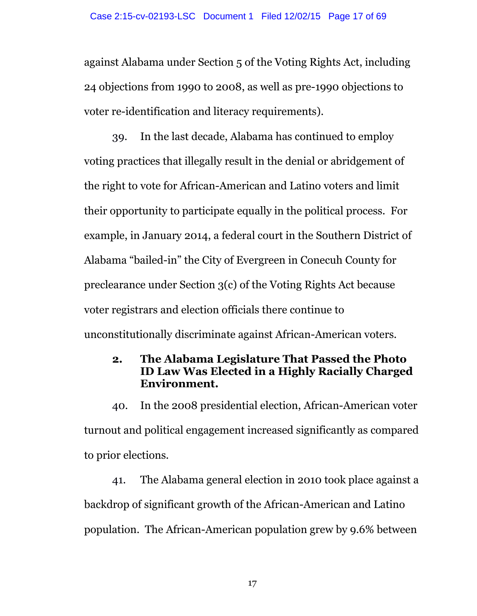against Alabama under Section 5 of the Voting Rights Act, including 24 objections from 1990 to 2008, as well as pre-1990 objections to voter re-identification and literacy requirements).

39. In the last decade, Alabama has continued to employ voting practices that illegally result in the denial or abridgement of the right to vote for African-American and Latino voters and limit their opportunity to participate equally in the political process. For example, in January 2014, a federal court in the Southern District of Alabama "bailed-in" the City of Evergreen in Conecuh County for preclearance under Section 3(c) of the Voting Rights Act because voter registrars and election officials there continue to unconstitutionally discriminate against African-American voters.

# **2. The Alabama Legislature That Passed the Photo ID Law Was Elected in a Highly Racially Charged Environment.**

40. In the 2008 presidential election, African-American voter turnout and political engagement increased significantly as compared to prior elections.

41. The Alabama general election in 2010 took place against a backdrop of significant growth of the African-American and Latino population. The African-American population grew by 9.6% between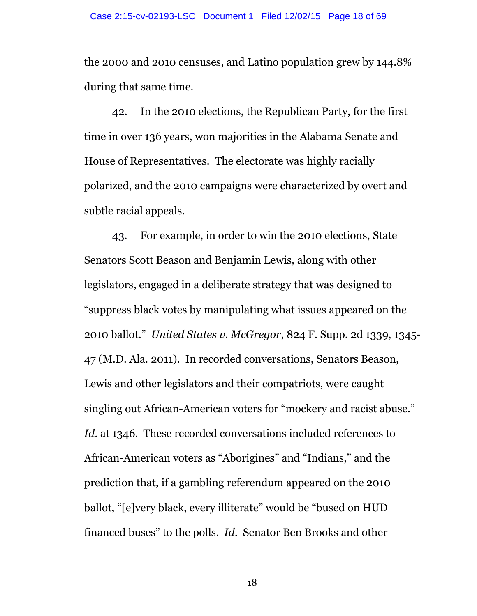the 2000 and 2010 censuses, and Latino population grew by 144.8% during that same time.

42. In the 2010 elections, the Republican Party, for the first time in over 136 years, won majorities in the Alabama Senate and House of Representatives. The electorate was highly racially polarized, and the 2010 campaigns were characterized by overt and subtle racial appeals.

43. For example, in order to win the 2010 elections, State Senators Scott Beason and Benjamin Lewis, along with other legislators, engaged in a deliberate strategy that was designed to "suppress black votes by manipulating what issues appeared on the 2010 ballot." *United States v. McGregor*, 824 F. Supp. 2d 1339, 1345- 47 (M.D. Ala. 2011). In recorded conversations, Senators Beason, Lewis and other legislators and their compatriots, were caught singling out African-American voters for "mockery and racist abuse." *Id*. at 1346. These recorded conversations included references to African-American voters as "Aborigines" and "Indians," and the prediction that, if a gambling referendum appeared on the 2010 ballot, "[e]very black, every illiterate" would be "bused on HUD financed buses" to the polls. *Id*. Senator Ben Brooks and other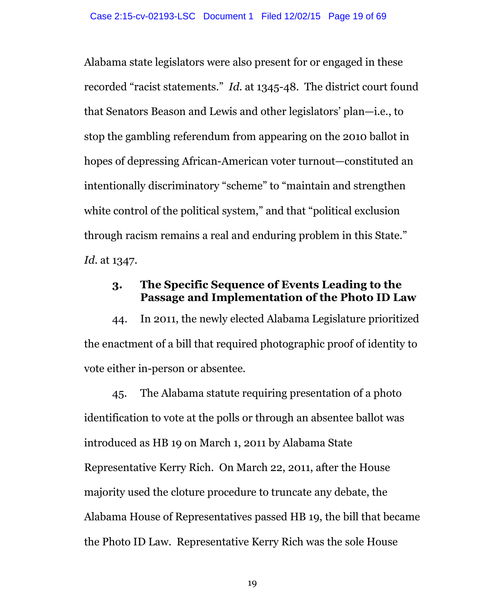Alabama state legislators were also present for or engaged in these recorded "racist statements." *Id*. at 1345-48. The district court found that Senators Beason and Lewis and other legislators' plan—i.e., to stop the gambling referendum from appearing on the 2010 ballot in hopes of depressing African-American voter turnout—constituted an intentionally discriminatory "scheme" to "maintain and strengthen white control of the political system," and that "political exclusion" through racism remains a real and enduring problem in this State." *Id*. at 1347.

#### **3. The Specific Sequence of Events Leading to the Passage and Implementation of the Photo ID Law**

44. In 2011, the newly elected Alabama Legislature prioritized the enactment of a bill that required photographic proof of identity to vote either in-person or absentee.

45. The Alabama statute requiring presentation of a photo identification to vote at the polls or through an absentee ballot was introduced as HB 19 on March 1, 2011 by Alabama State Representative Kerry Rich. On March 22, 2011, after the House majority used the cloture procedure to truncate any debate, the Alabama House of Representatives passed HB 19, the bill that became the Photo ID Law. Representative Kerry Rich was the sole House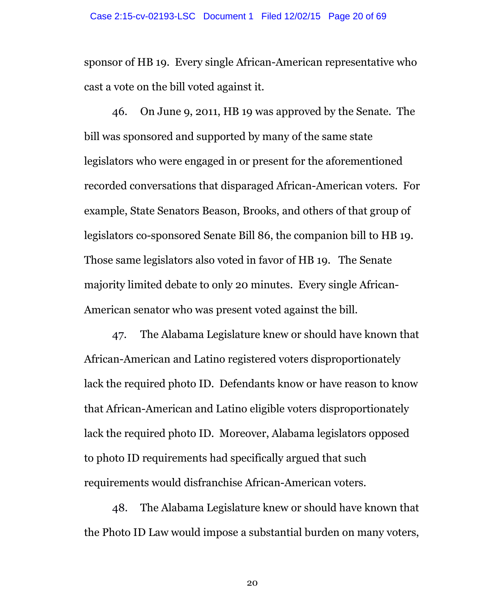sponsor of HB 19. Every single African-American representative who cast a vote on the bill voted against it.

46. On June 9, 2011, HB 19 was approved by the Senate. The bill was sponsored and supported by many of the same state legislators who were engaged in or present for the aforementioned recorded conversations that disparaged African-American voters. For example, State Senators Beason, Brooks, and others of that group of legislators co-sponsored Senate Bill 86, the companion bill to HB 19. Those same legislators also voted in favor of HB 19. The Senate majority limited debate to only 20 minutes. Every single African-American senator who was present voted against the bill.

47. The Alabama Legislature knew or should have known that African-American and Latino registered voters disproportionately lack the required photo ID. Defendants know or have reason to know that African-American and Latino eligible voters disproportionately lack the required photo ID. Moreover, Alabama legislators opposed to photo ID requirements had specifically argued that such requirements would disfranchise African-American voters.

48. The Alabama Legislature knew or should have known that the Photo ID Law would impose a substantial burden on many voters,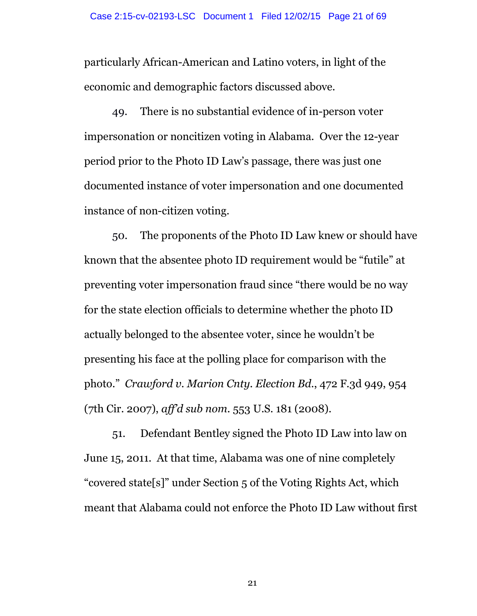particularly African-American and Latino voters, in light of the economic and demographic factors discussed above.

49. There is no substantial evidence of in-person voter impersonation or noncitizen voting in Alabama. Over the 12-year period prior to the Photo ID Law's passage, there was just one documented instance of voter impersonation and one documented instance of non-citizen voting.

50. The proponents of the Photo ID Law knew or should have known that the absentee photo ID requirement would be "futile" at preventing voter impersonation fraud since "there would be no way for the state election officials to determine whether the photo ID actually belonged to the absentee voter, since he wouldn't be presenting his face at the polling place for comparison with the photo." *Crawford v. Marion Cnty. Election Bd.*, 472 F.3d 949, 954 (7th Cir. 2007), *aff'd sub nom.* 553 U.S. 181 (2008).

51. Defendant Bentley signed the Photo ID Law into law on June 15, 2011. At that time, Alabama was one of nine completely "covered state[s]" under Section 5 of the Voting Rights Act, which meant that Alabama could not enforce the Photo ID Law without first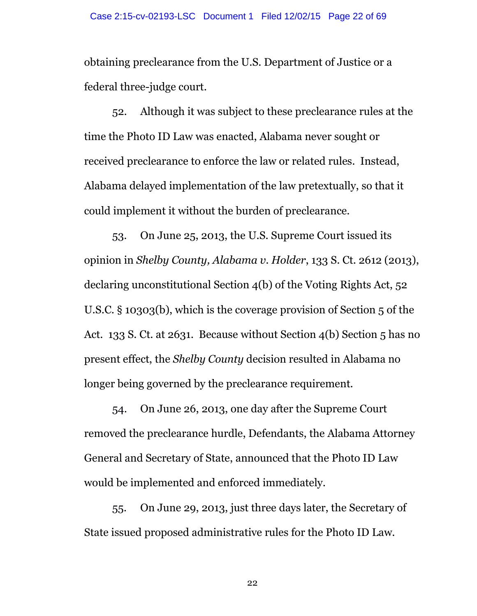obtaining preclearance from the U.S. Department of Justice or a federal three-judge court.

52. Although it was subject to these preclearance rules at the time the Photo ID Law was enacted, Alabama never sought or received preclearance to enforce the law or related rules. Instead, Alabama delayed implementation of the law pretextually, so that it could implement it without the burden of preclearance.

53. On June 25, 2013, the U.S. Supreme Court issued its opinion in *Shelby County, Alabama v. Holder*, 133 S. Ct. 2612 (2013), declaring unconstitutional Section 4(b) of the Voting Rights Act, 52 U.S.C. § 10303(b), which is the coverage provision of Section 5 of the Act. 133 S. Ct. at 2631. Because without Section 4(b) Section 5 has no present effect, the *Shelby County* decision resulted in Alabama no longer being governed by the preclearance requirement.

54. On June 26, 2013, one day after the Supreme Court removed the preclearance hurdle, Defendants, the Alabama Attorney General and Secretary of State, announced that the Photo ID Law would be implemented and enforced immediately.

55. On June 29, 2013, just three days later, the Secretary of State issued proposed administrative rules for the Photo ID Law.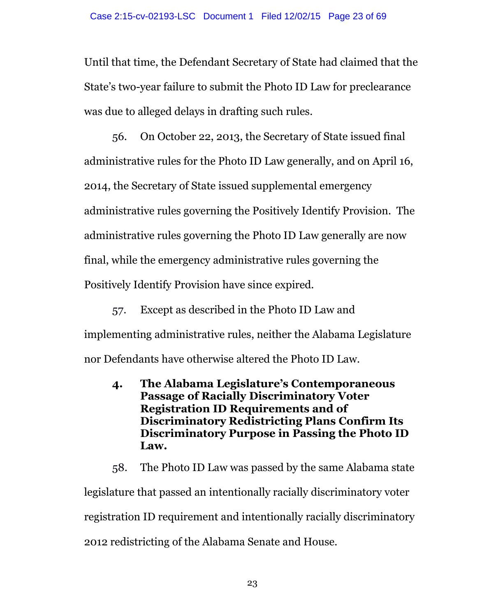Until that time, the Defendant Secretary of State had claimed that the State's two-year failure to submit the Photo ID Law for preclearance was due to alleged delays in drafting such rules.

56. On October 22, 2013, the Secretary of State issued final administrative rules for the Photo ID Law generally, and on April 16, 2014, the Secretary of State issued supplemental emergency administrative rules governing the Positively Identify Provision. The administrative rules governing the Photo ID Law generally are now final, while the emergency administrative rules governing the Positively Identify Provision have since expired.

57. Except as described in the Photo ID Law and implementing administrative rules, neither the Alabama Legislature nor Defendants have otherwise altered the Photo ID Law.

**4. The Alabama Legislature's Contemporaneous Passage of Racially Discriminatory Voter Registration ID Requirements and of Discriminatory Redistricting Plans Confirm Its Discriminatory Purpose in Passing the Photo ID Law.**

58. The Photo ID Law was passed by the same Alabama state legislature that passed an intentionally racially discriminatory voter registration ID requirement and intentionally racially discriminatory 2012 redistricting of the Alabama Senate and House.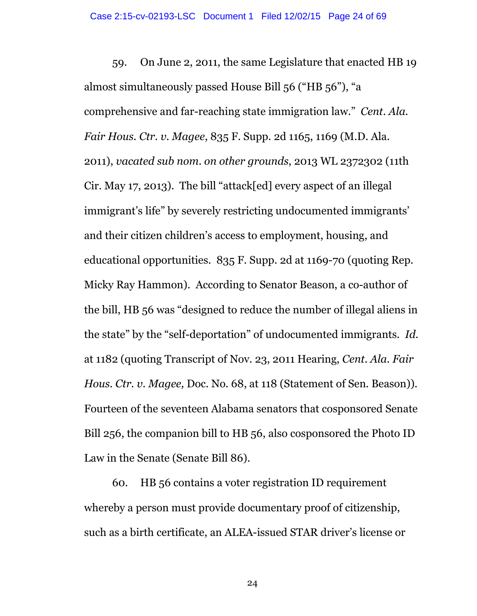59. On June 2, 2011, the same Legislature that enacted HB 19 almost simultaneously passed House Bill 56 ("HB 56"), "a comprehensive and far-reaching state immigration law." *Cent. Ala. Fair Hous. Ctr. v. Magee*, 835 F. Supp. 2d 1165, 1169 (M.D. Ala. 2011), *vacated sub nom. on other grounds*, 2013 WL 2372302 (11th Cir. May 17, 2013). The bill "attack[ed] every aspect of an illegal immigrant's life" by severely restricting undocumented immigrants' and their citizen children's access to employment, housing, and educational opportunities. 835 F. Supp. 2d at 1169-70 (quoting Rep. Micky Ray Hammon). According to Senator Beason, a co-author of the bill, HB 56 was "designed to reduce the number of illegal aliens in the state" by the "self-deportation" of undocumented immigrants. *Id*. at 1182 (quoting Transcript of Nov. 23, 2011 Hearing, *Cent. Ala. Fair Hous. Ctr. v. Magee,* Doc. No. 68, at 118 (Statement of Sen. Beason)). Fourteen of the seventeen Alabama senators that cosponsored Senate Bill 256, the companion bill to HB 56, also cosponsored the Photo ID Law in the Senate (Senate Bill 86).

60. HB 56 contains a voter registration ID requirement whereby a person must provide documentary proof of citizenship, such as a birth certificate, an ALEA-issued STAR driver's license or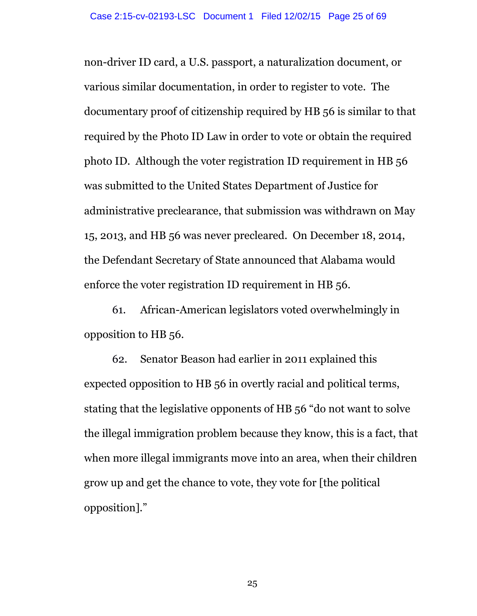non-driver ID card, a U.S. passport, a naturalization document, or various similar documentation, in order to register to vote. The documentary proof of citizenship required by HB 56 is similar to that required by the Photo ID Law in order to vote or obtain the required photo ID. Although the voter registration ID requirement in HB 56 was submitted to the United States Department of Justice for administrative preclearance, that submission was withdrawn on May 15, 2013, and HB 56 was never precleared. On December 18, 2014, the Defendant Secretary of State announced that Alabama would enforce the voter registration ID requirement in HB 56.

61. African-American legislators voted overwhelmingly in opposition to HB 56.

62. Senator Beason had earlier in 2011 explained this expected opposition to HB 56 in overtly racial and political terms, stating that the legislative opponents of HB 56 "do not want to solve the illegal immigration problem because they know, this is a fact, that when more illegal immigrants move into an area, when their children grow up and get the chance to vote, they vote for [the political opposition]."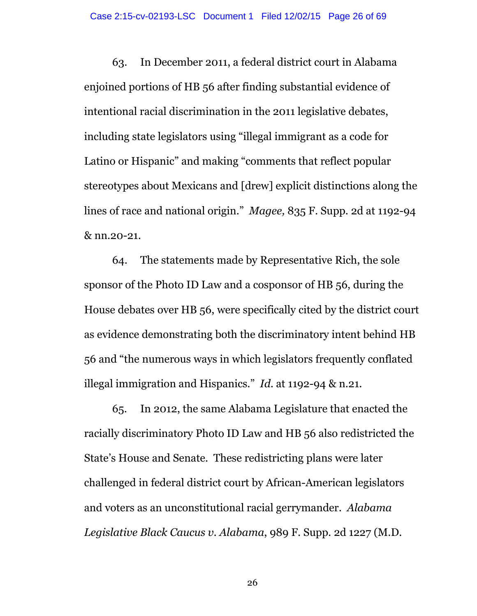63. In December 2011, a federal district court in Alabama enjoined portions of HB 56 after finding substantial evidence of intentional racial discrimination in the 2011 legislative debates, including state legislators using "illegal immigrant as a code for Latino or Hispanic" and making "comments that reflect popular stereotypes about Mexicans and [drew] explicit distinctions along the lines of race and national origin." *Magee,* 835 F. Supp. 2d at 1192-94 & nn.20-21.

64. The statements made by Representative Rich, the sole sponsor of the Photo ID Law and a cosponsor of HB 56, during the House debates over HB 56, were specifically cited by the district court as evidence demonstrating both the discriminatory intent behind HB 56 and "the numerous ways in which legislators frequently conflated illegal immigration and Hispanics." *Id*. at 1192-94 & n.21.

65. In 2012, the same Alabama Legislature that enacted the racially discriminatory Photo ID Law and HB 56 also redistricted the State's House and Senate. These redistricting plans were later challenged in federal district court by African-American legislators and voters as an unconstitutional racial gerrymander. *Alabama Legislative Black Caucus v. Alabama*, 989 F. Supp. 2d 1227 (M.D.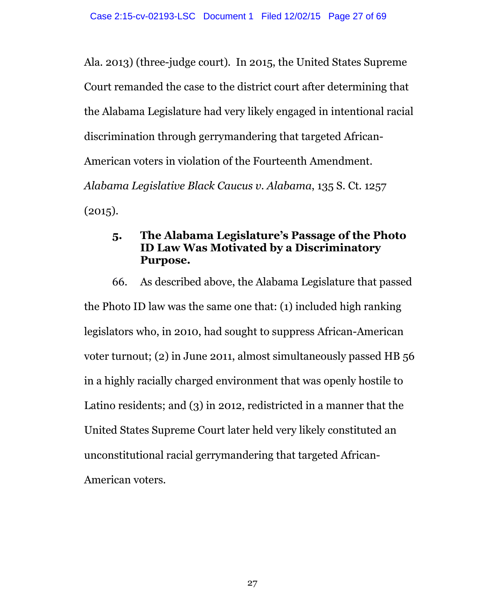Ala. 2013) (three-judge court). In 2015, the United States Supreme Court remanded the case to the district court after determining that the Alabama Legislature had very likely engaged in intentional racial discrimination through gerrymandering that targeted African-American voters in violation of the Fourteenth Amendment. *Alabama Legislative Black Caucus v. Alabama*, 135 S. Ct. 1257  $(2015).$ 

## **5. The Alabama Legislature's Passage of the Photo ID Law Was Motivated by a Discriminatory Purpose.**

66. As described above, the Alabama Legislature that passed the Photo ID law was the same one that: (1) included high ranking legislators who, in 2010, had sought to suppress African-American voter turnout; (2) in June 2011, almost simultaneously passed HB 56 in a highly racially charged environment that was openly hostile to Latino residents; and (3) in 2012, redistricted in a manner that the United States Supreme Court later held very likely constituted an unconstitutional racial gerrymandering that targeted African-American voters.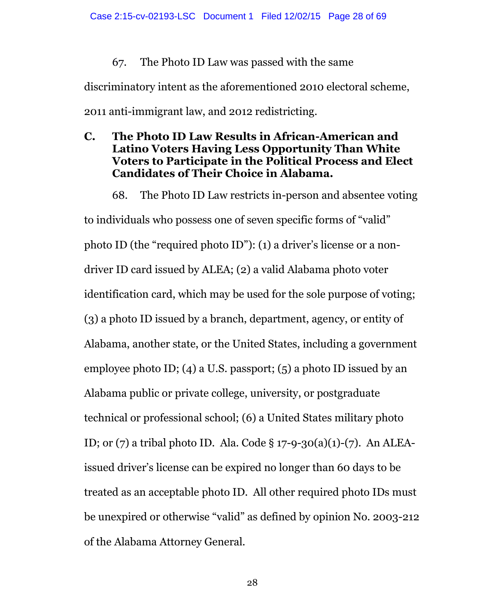## 67. The Photo ID Law was passed with the same

discriminatory intent as the aforementioned 2010 electoral scheme, 2011 anti-immigrant law, and 2012 redistricting.

## **C. The Photo ID Law Results in African-American and Latino Voters Having Less Opportunity Than White Voters to Participate in the Political Process and Elect Candidates of Their Choice in Alabama.**

68. The Photo ID Law restricts in-person and absentee voting to individuals who possess one of seven specific forms of "valid" photo ID (the "required photo ID"): (1) a driver's license or a nondriver ID card issued by ALEA; (2) a valid Alabama photo voter identification card, which may be used for the sole purpose of voting; (3) a photo ID issued by a branch, department, agency, or entity of Alabama, another state, or the United States, including a government employee photo ID; (4) a U.S. passport; (5) a photo ID issued by an Alabama public or private college, university, or postgraduate technical or professional school; (6) a United States military photo ID; or (7) a tribal photo ID. Ala. Code § 17-9-30(a)(1)-(7). An ALEAissued driver's license can be expired no longer than 60 days to be treated as an acceptable photo ID. All other required photo IDs must be unexpired or otherwise "valid" as defined by opinion No. 2003-212 of the Alabama Attorney General.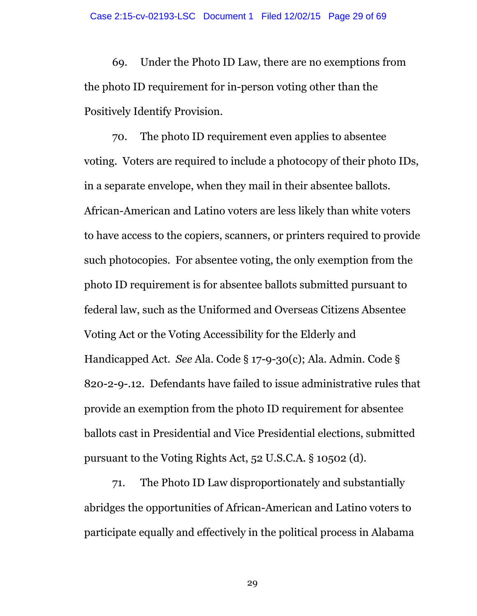69. Under the Photo ID Law, there are no exemptions from the photo ID requirement for in-person voting other than the Positively Identify Provision.

70. The photo ID requirement even applies to absentee voting. Voters are required to include a photocopy of their photo IDs, in a separate envelope, when they mail in their absentee ballots. African-American and Latino voters are less likely than white voters to have access to the copiers, scanners, or printers required to provide such photocopies. For absentee voting, the only exemption from the photo ID requirement is for absentee ballots submitted pursuant to federal law, such as the Uniformed and Overseas Citizens Absentee Voting Act or the Voting Accessibility for the Elderly and Handicapped Act. *See* Ala. Code § 17-9-30(c); Ala. Admin. Code § 820-2-9-.12. Defendants have failed to issue administrative rules that provide an exemption from the photo ID requirement for absentee ballots cast in Presidential and Vice Presidential elections, submitted pursuant to the Voting Rights Act, 52 U.S.C.A. § 10502 (d).

71. The Photo ID Law disproportionately and substantially abridges the opportunities of African-American and Latino voters to participate equally and effectively in the political process in Alabama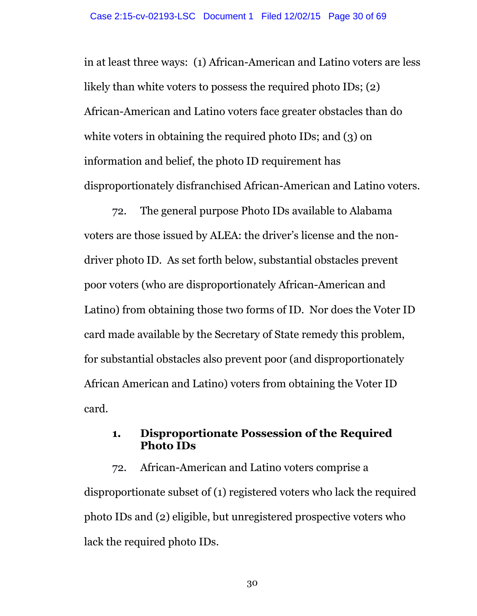in at least three ways: (1) African-American and Latino voters are less likely than white voters to possess the required photo IDs; (2) African-American and Latino voters face greater obstacles than do white voters in obtaining the required photo IDs; and (3) on information and belief, the photo ID requirement has disproportionately disfranchised African-American and Latino voters.

72. The general purpose Photo IDs available to Alabama voters are those issued by ALEA: the driver's license and the nondriver photo ID. As set forth below, substantial obstacles prevent poor voters (who are disproportionately African-American and Latino) from obtaining those two forms of ID. Nor does the Voter ID card made available by the Secretary of State remedy this problem, for substantial obstacles also prevent poor (and disproportionately African American and Latino) voters from obtaining the Voter ID card.

## **1. Disproportionate Possession of the Required Photo IDs**

72. African-American and Latino voters comprise a disproportionate subset of (1) registered voters who lack the required photo IDs and (2) eligible, but unregistered prospective voters who lack the required photo IDs.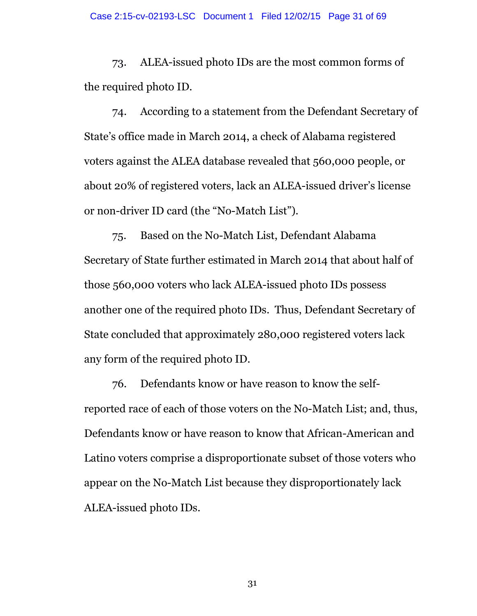73. ALEA-issued photo IDs are the most common forms of the required photo ID.

74. According to a statement from the Defendant Secretary of State's office made in March 2014, a check of Alabama registered voters against the ALEA database revealed that 560,000 people, or about 20% of registered voters, lack an ALEA-issued driver's license or non-driver ID card (the "No-Match List").

75. Based on the No-Match List, Defendant Alabama Secretary of State further estimated in March 2014 that about half of those 560,000 voters who lack ALEA-issued photo IDs possess another one of the required photo IDs. Thus, Defendant Secretary of State concluded that approximately 280,000 registered voters lack any form of the required photo ID.

76. Defendants know or have reason to know the selfreported race of each of those voters on the No-Match List; and, thus, Defendants know or have reason to know that African-American and Latino voters comprise a disproportionate subset of those voters who appear on the No-Match List because they disproportionately lack ALEA-issued photo IDs.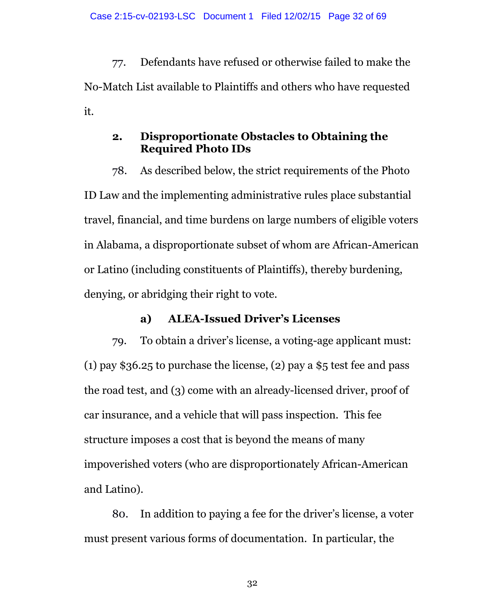77. Defendants have refused or otherwise failed to make the No-Match List available to Plaintiffs and others who have requested it.

## **2. Disproportionate Obstacles to Obtaining the Required Photo IDs**

78. As described below, the strict requirements of the Photo ID Law and the implementing administrative rules place substantial travel, financial, and time burdens on large numbers of eligible voters in Alabama, a disproportionate subset of whom are African-American or Latino (including constituents of Plaintiffs), thereby burdening, denying, or abridging their right to vote.

#### **a) ALEA-Issued Driver's Licenses**

79. To obtain a driver's license, a voting-age applicant must: (1) pay  $$36.25$  to purchase the license, (2) pay a  $$5$  test fee and pass the road test, and (3) come with an already-licensed driver, proof of car insurance, and a vehicle that will pass inspection. This fee structure imposes a cost that is beyond the means of many impoverished voters (who are disproportionately African-American and Latino).

80. In addition to paying a fee for the driver's license, a voter must present various forms of documentation. In particular, the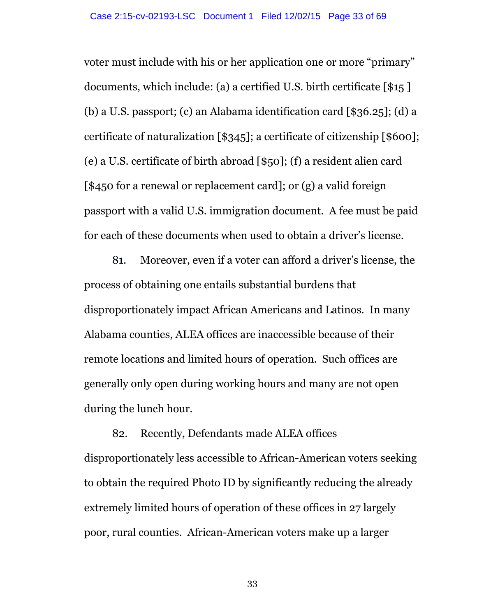voter must include with his or her application one or more "primary" documents, which include: (a) a certified U.S. birth certificate [\$15 ] (b) a U.S. passport; (c) an Alabama identification card [\$36.25]; (d) a certificate of naturalization [\$345]; a certificate of citizenship [\$600]; (e) a U.S. certificate of birth abroad [\$50]; (f) a resident alien card [\$450 for a renewal or replacement card]; or (g) a valid foreign passport with a valid U.S. immigration document. A fee must be paid for each of these documents when used to obtain a driver's license.

81. Moreover, even if a voter can afford a driver's license, the process of obtaining one entails substantial burdens that disproportionately impact African Americans and Latinos. In many Alabama counties, ALEA offices are inaccessible because of their remote locations and limited hours of operation. Such offices are generally only open during working hours and many are not open during the lunch hour.

82. Recently, Defendants made ALEA offices disproportionately less accessible to African-American voters seeking to obtain the required Photo ID by significantly reducing the already extremely limited hours of operation of these offices in 27 largely poor, rural counties. African-American voters make up a larger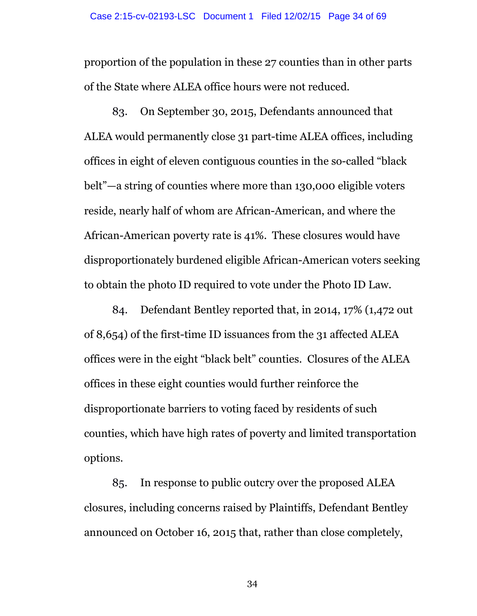proportion of the population in these 27 counties than in other parts of the State where ALEA office hours were not reduced.

83. On September 30, 2015, Defendants announced that ALEA would permanently close 31 part-time ALEA offices, including offices in eight of eleven contiguous counties in the so-called "black belt"—a string of counties where more than 130,000 eligible voters reside, nearly half of whom are African-American, and where the African-American poverty rate is 41%. These closures would have disproportionately burdened eligible African-American voters seeking to obtain the photo ID required to vote under the Photo ID Law.

84. Defendant Bentley reported that, in 2014, 17% (1,472 out of 8,654) of the first-time ID issuances from the 31 affected ALEA offices were in the eight "black belt" counties. Closures of the ALEA offices in these eight counties would further reinforce the disproportionate barriers to voting faced by residents of such counties, which have high rates of poverty and limited transportation options.

85. In response to public outcry over the proposed ALEA closures, including concerns raised by Plaintiffs, Defendant Bentley announced on October 16, 2015 that, rather than close completely,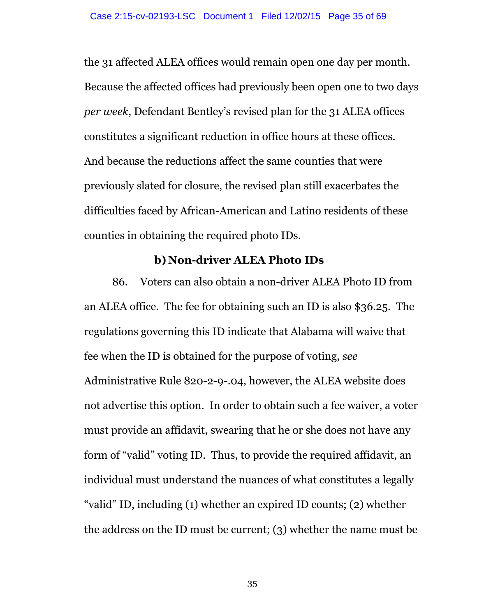the 31 affected ALEA offices would remain open one day per month. Because the affected offices had previously been open one to two days *per week*, Defendant Bentley's revised plan for the 31 ALEA offices constitutes a significant reduction in office hours at these offices. And because the reductions affect the same counties that were previously slated for closure, the revised plan still exacerbates the difficulties faced by African-American and Latino residents of these counties in obtaining the required photo IDs.

#### **b) Non-driver ALEA Photo IDs**

86. Voters can also obtain a non-driver ALEA Photo ID from an ALEA office. The fee for obtaining such an ID is also \$36.25. The regulations governing this ID indicate that Alabama will waive that fee when the ID is obtained for the purpose of voting, *see* Administrative Rule 820-2-9-.04, however, the ALEA website does not advertise this option. In order to obtain such a fee waiver, a voter must provide an affidavit, swearing that he or she does not have any form of "valid" voting ID. Thus, to provide the required affidavit, an individual must understand the nuances of what constitutes a legally "valid" ID, including (1) whether an expired ID counts; (2) whether the address on the ID must be current; (3) whether the name must be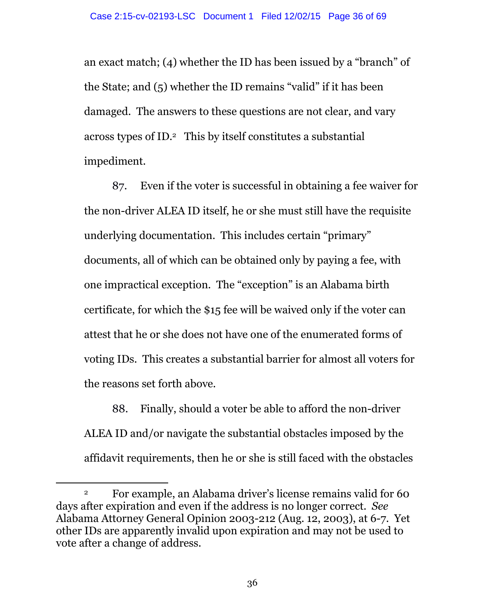an exact match; (4) whether the ID has been issued by a "branch" of the State; and (5) whether the ID remains "valid" if it has been damaged. The answers to these questions are not clear, and vary across types of ID.2 This by itself constitutes a substantial impediment.

87. Even if the voter is successful in obtaining a fee waiver for the non-driver ALEA ID itself, he or she must still have the requisite underlying documentation. This includes certain "primary" documents, all of which can be obtained only by paying a fee, with one impractical exception. The "exception" is an Alabama birth certificate, for which the \$15 fee will be waived only if the voter can attest that he or she does not have one of the enumerated forms of voting IDs. This creates a substantial barrier for almost all voters for the reasons set forth above.

88. Finally, should a voter be able to afford the non-driver ALEA ID and/or navigate the substantial obstacles imposed by the affidavit requirements, then he or she is still faced with the obstacles

 $\overline{a}$ 

<sup>2</sup> For example, an Alabama driver's license remains valid for 60 days after expiration and even if the address is no longer correct. *See* Alabama Attorney General Opinion 2003-212 (Aug. 12, 2003), at 6-7. Yet other IDs are apparently invalid upon expiration and may not be used to vote after a change of address.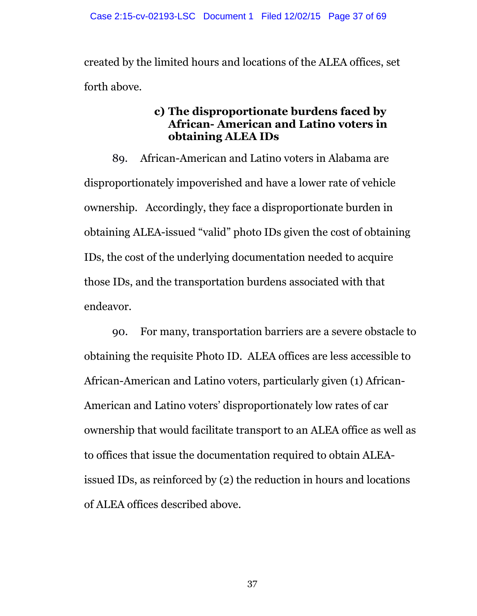created by the limited hours and locations of the ALEA offices, set forth above.

#### **c) The disproportionate burdens faced by African- American and Latino voters in obtaining ALEA IDs**

89. African-American and Latino voters in Alabama are disproportionately impoverished and have a lower rate of vehicle ownership. Accordingly, they face a disproportionate burden in obtaining ALEA-issued "valid" photo IDs given the cost of obtaining IDs, the cost of the underlying documentation needed to acquire those IDs, and the transportation burdens associated with that endeavor.

90. For many, transportation barriers are a severe obstacle to obtaining the requisite Photo ID. ALEA offices are less accessible to African-American and Latino voters, particularly given (1) African-American and Latino voters' disproportionately low rates of car ownership that would facilitate transport to an ALEA office as well as to offices that issue the documentation required to obtain ALEAissued IDs, as reinforced by (2) the reduction in hours and locations of ALEA offices described above.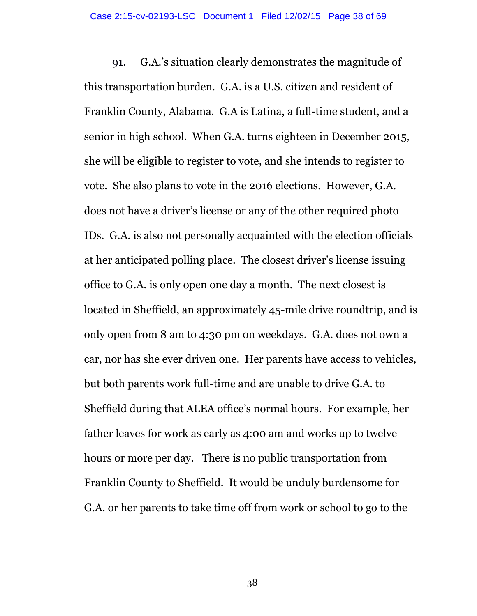91. G.A.'s situation clearly demonstrates the magnitude of this transportation burden. G.A. is a U.S. citizen and resident of Franklin County, Alabama. G.A is Latina, a full-time student, and a senior in high school. When G.A. turns eighteen in December 2015, she will be eligible to register to vote, and she intends to register to vote. She also plans to vote in the 2016 elections. However, G.A. does not have a driver's license or any of the other required photo IDs. G.A. is also not personally acquainted with the election officials at her anticipated polling place. The closest driver's license issuing office to G.A. is only open one day a month. The next closest is located in Sheffield, an approximately 45-mile drive roundtrip, and is only open from 8 am to 4:30 pm on weekdays. G.A. does not own a car, nor has she ever driven one. Her parents have access to vehicles, but both parents work full-time and are unable to drive G.A. to Sheffield during that ALEA office's normal hours. For example, her father leaves for work as early as 4:00 am and works up to twelve hours or more per day. There is no public transportation from Franklin County to Sheffield. It would be unduly burdensome for G.A. or her parents to take time off from work or school to go to the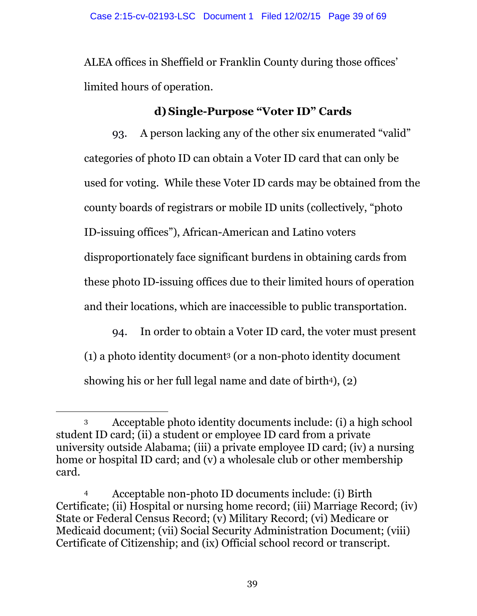ALEA offices in Sheffield or Franklin County during those offices' limited hours of operation.

# **d) Single-Purpose "Voter ID" Cards**

93. A person lacking any of the other six enumerated "valid" categories of photo ID can obtain a Voter ID card that can only be used for voting. While these Voter ID cards may be obtained from the county boards of registrars or mobile ID units (collectively, "photo ID-issuing offices"), African-American and Latino voters disproportionately face significant burdens in obtaining cards from these photo ID-issuing offices due to their limited hours of operation and their locations, which are inaccessible to public transportation.

94. In order to obtain a Voter ID card, the voter must present (1) a photo identity document<sup>3</sup> (or a non-photo identity document showing his or her full legal name and date of birth<sup>4</sup>),  $(2)$ 

 $\overline{a}$ <sup>3</sup> Acceptable photo identity documents include: (i) a high school student ID card; (ii) a student or employee ID card from a private university outside Alabama; (iii) a private employee ID card; (iv) a nursing home or hospital ID card; and (v) a wholesale club or other membership card.

<sup>4</sup> Acceptable non-photo ID documents include: (i) Birth Certificate; (ii) Hospital or nursing home record; (iii) Marriage Record; (iv) State or Federal Census Record; (v) Military Record; (vi) Medicare or Medicaid document; (vii) Social Security Administration Document; (viii) Certificate of Citizenship; and (ix) Official school record or transcript.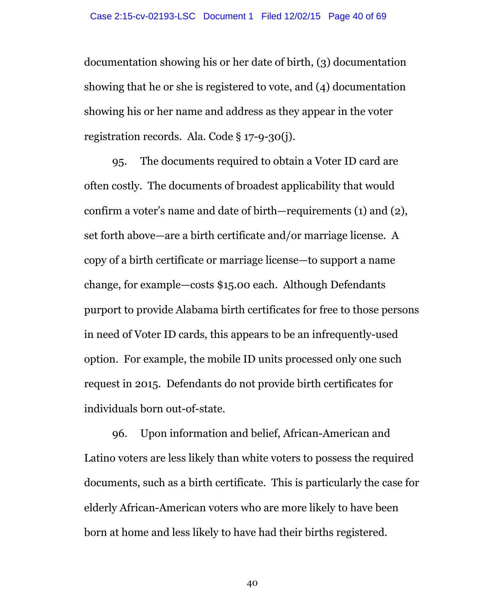documentation showing his or her date of birth, (3) documentation showing that he or she is registered to vote, and (4) documentation showing his or her name and address as they appear in the voter registration records. Ala. Code § 17-9-30(j).

95. The documents required to obtain a Voter ID card are often costly. The documents of broadest applicability that would confirm a voter's name and date of birth—requirements (1) and (2), set forth above—are a birth certificate and/or marriage license. A copy of a birth certificate or marriage license—to support a name change, for example—costs \$15.00 each. Although Defendants purport to provide Alabama birth certificates for free to those persons in need of Voter ID cards, this appears to be an infrequently-used option. For example, the mobile ID units processed only one such request in 2015. Defendants do not provide birth certificates for individuals born out-of-state.

96. Upon information and belief, African-American and Latino voters are less likely than white voters to possess the required documents, such as a birth certificate. This is particularly the case for elderly African-American voters who are more likely to have been born at home and less likely to have had their births registered.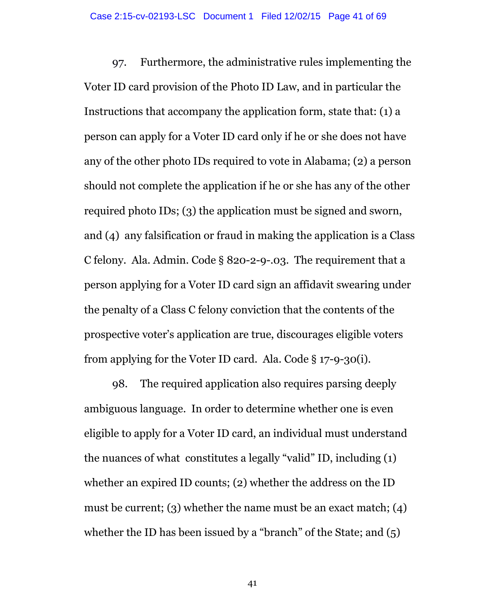97. Furthermore, the administrative rules implementing the Voter ID card provision of the Photo ID Law, and in particular the Instructions that accompany the application form, state that: (1) a person can apply for a Voter ID card only if he or she does not have any of the other photo IDs required to vote in Alabama; (2) a person should not complete the application if he or she has any of the other required photo IDs; (3) the application must be signed and sworn, and (4) any falsification or fraud in making the application is a Class C felony. Ala. Admin. Code § 820-2-9-.03. The requirement that a person applying for a Voter ID card sign an affidavit swearing under the penalty of a Class C felony conviction that the contents of the prospective voter's application are true, discourages eligible voters from applying for the Voter ID card. Ala. Code § 17-9-30(i).

98. The required application also requires parsing deeply ambiguous language. In order to determine whether one is even eligible to apply for a Voter ID card, an individual must understand the nuances of what constitutes a legally "valid" ID, including (1) whether an expired ID counts; (2) whether the address on the ID must be current; (3) whether the name must be an exact match; (4) whether the ID has been issued by a "branch" of the State; and  $(5)$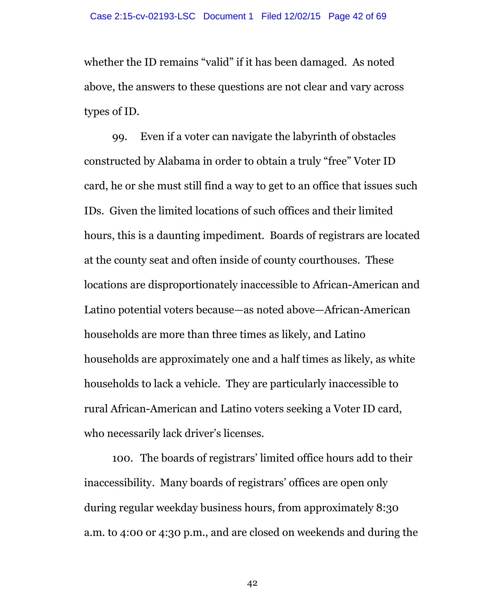whether the ID remains "valid" if it has been damaged. As noted above, the answers to these questions are not clear and vary across types of ID.

99. Even if a voter can navigate the labyrinth of obstacles constructed by Alabama in order to obtain a truly "free" Voter ID card, he or she must still find a way to get to an office that issues such IDs. Given the limited locations of such offices and their limited hours, this is a daunting impediment. Boards of registrars are located at the county seat and often inside of county courthouses. These locations are disproportionately inaccessible to African-American and Latino potential voters because—as noted above—African-American households are more than three times as likely, and Latino households are approximately one and a half times as likely, as white households to lack a vehicle. They are particularly inaccessible to rural African-American and Latino voters seeking a Voter ID card, who necessarily lack driver's licenses.

100. The boards of registrars' limited office hours add to their inaccessibility. Many boards of registrars' offices are open only during regular weekday business hours, from approximately 8:30 a.m. to 4:00 or 4:30 p.m., and are closed on weekends and during the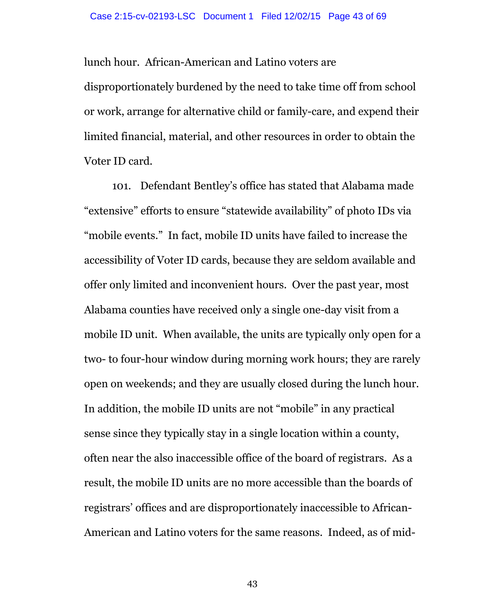lunch hour. African-American and Latino voters are

disproportionately burdened by the need to take time off from school or work, arrange for alternative child or family-care, and expend their limited financial, material, and other resources in order to obtain the Voter ID card.

101. Defendant Bentley's office has stated that Alabama made "extensive" efforts to ensure "statewide availability" of photo IDs via "mobile events." In fact, mobile ID units have failed to increase the accessibility of Voter ID cards, because they are seldom available and offer only limited and inconvenient hours. Over the past year, most Alabama counties have received only a single one-day visit from a mobile ID unit. When available, the units are typically only open for a two- to four-hour window during morning work hours; they are rarely open on weekends; and they are usually closed during the lunch hour. In addition, the mobile ID units are not "mobile" in any practical sense since they typically stay in a single location within a county, often near the also inaccessible office of the board of registrars. As a result, the mobile ID units are no more accessible than the boards of registrars' offices and are disproportionately inaccessible to African-American and Latino voters for the same reasons. Indeed, as of mid-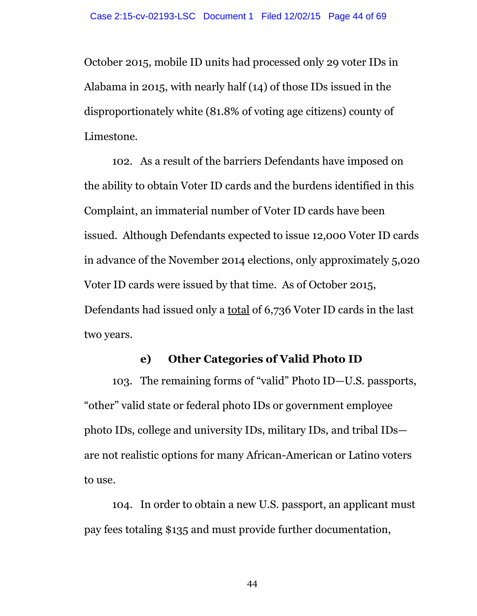October 2015, mobile ID units had processed only 29 voter IDs in Alabama in 2015, with nearly half (14) of those IDs issued in the disproportionately white (81.8% of voting age citizens) county of Limestone.

102. As a result of the barriers Defendants have imposed on the ability to obtain Voter ID cards and the burdens identified in this Complaint, an immaterial number of Voter ID cards have been issued. Although Defendants expected to issue 12,000 Voter ID cards in advance of the November 2014 elections, only approximately 5,020 Voter ID cards were issued by that time. As of October 2015, Defendants had issued only a total of 6,736 Voter ID cards in the last two years.

#### **e) Other Categories of Valid Photo ID**

103. The remaining forms of "valid" Photo ID—U.S. passports, "other" valid state or federal photo IDs or government employee photo IDs, college and university IDs, military IDs, and tribal IDs are not realistic options for many African-American or Latino voters to use.

104. In order to obtain a new U.S. passport, an applicant must pay fees totaling \$135 and must provide further documentation,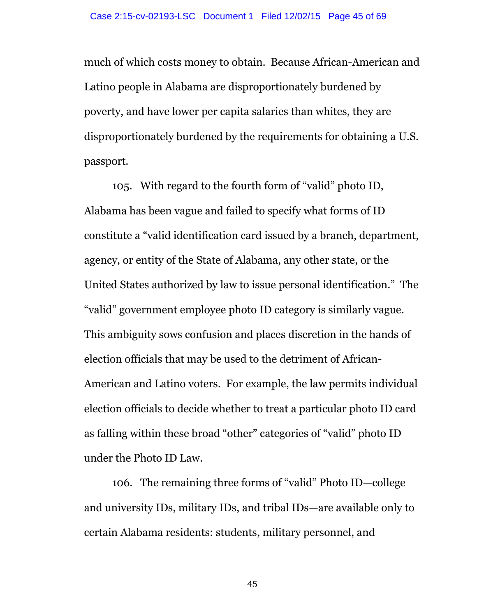much of which costs money to obtain. Because African-American and Latino people in Alabama are disproportionately burdened by poverty, and have lower per capita salaries than whites, they are disproportionately burdened by the requirements for obtaining a U.S. passport.

105. With regard to the fourth form of "valid" photo ID, Alabama has been vague and failed to specify what forms of ID constitute a "valid identification card issued by a branch, department, agency, or entity of the State of Alabama, any other state, or the United States authorized by law to issue personal identification." The "valid" government employee photo ID category is similarly vague. This ambiguity sows confusion and places discretion in the hands of election officials that may be used to the detriment of African-American and Latino voters. For example, the law permits individual election officials to decide whether to treat a particular photo ID card as falling within these broad "other" categories of "valid" photo ID under the Photo ID Law.

106. The remaining three forms of "valid" Photo ID—college and university IDs, military IDs, and tribal IDs—are available only to certain Alabama residents: students, military personnel, and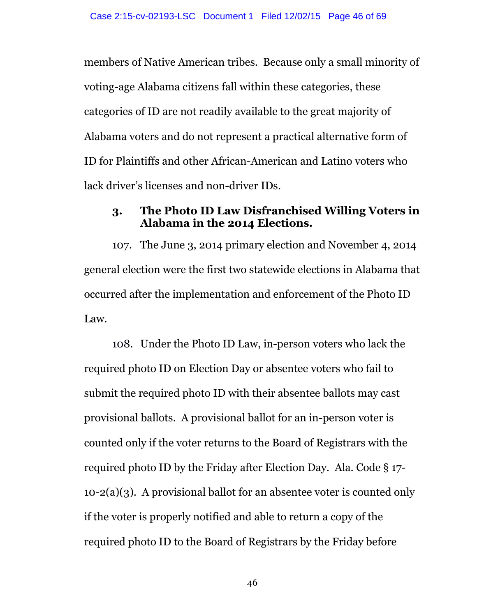members of Native American tribes. Because only a small minority of voting-age Alabama citizens fall within these categories, these categories of ID are not readily available to the great majority of Alabama voters and do not represent a practical alternative form of ID for Plaintiffs and other African-American and Latino voters who lack driver's licenses and non-driver IDs.

#### **3. The Photo ID Law Disfranchised Willing Voters in Alabama in the 2014 Elections.**

107. The June 3, 2014 primary election and November 4, 2014 general election were the first two statewide elections in Alabama that occurred after the implementation and enforcement of the Photo ID Law.

108. Under the Photo ID Law, in-person voters who lack the required photo ID on Election Day or absentee voters who fail to submit the required photo ID with their absentee ballots may cast provisional ballots. A provisional ballot for an in-person voter is counted only if the voter returns to the Board of Registrars with the required photo ID by the Friday after Election Day. Ala. Code § 17- 10-2(a)(3). A provisional ballot for an absentee voter is counted only if the voter is properly notified and able to return a copy of the required photo ID to the Board of Registrars by the Friday before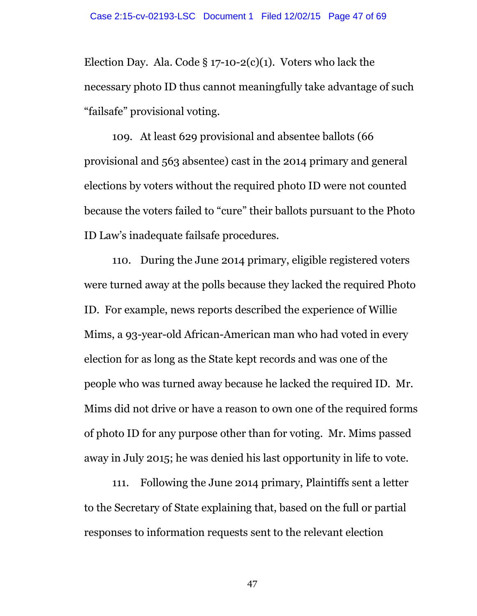Election Day. Ala. Code  $\S 17$ -10-2(c)(1). Voters who lack the necessary photo ID thus cannot meaningfully take advantage of such "failsafe" provisional voting.

109. At least 629 provisional and absentee ballots (66 provisional and 563 absentee) cast in the 2014 primary and general elections by voters without the required photo ID were not counted because the voters failed to "cure" their ballots pursuant to the Photo ID Law's inadequate failsafe procedures.

110. During the June 2014 primary, eligible registered voters were turned away at the polls because they lacked the required Photo ID. For example, news reports described the experience of Willie Mims, a 93-year-old African-American man who had voted in every election for as long as the State kept records and was one of the people who was turned away because he lacked the required ID. Mr. Mims did not drive or have a reason to own one of the required forms of photo ID for any purpose other than for voting. Mr. Mims passed away in July 2015; he was denied his last opportunity in life to vote.

111. Following the June 2014 primary, Plaintiffs sent a letter to the Secretary of State explaining that, based on the full or partial responses to information requests sent to the relevant election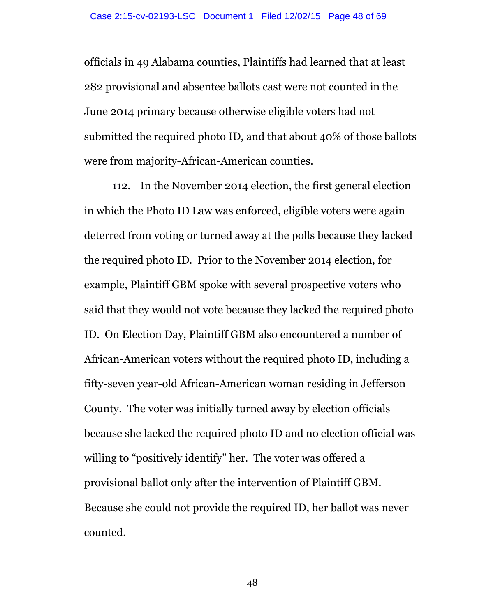officials in 49 Alabama counties, Plaintiffs had learned that at least 282 provisional and absentee ballots cast were not counted in the June 2014 primary because otherwise eligible voters had not submitted the required photo ID, and that about 40% of those ballots were from majority-African-American counties.

112. In the November 2014 election, the first general election in which the Photo ID Law was enforced, eligible voters were again deterred from voting or turned away at the polls because they lacked the required photo ID. Prior to the November 2014 election, for example, Plaintiff GBM spoke with several prospective voters who said that they would not vote because they lacked the required photo ID. On Election Day, Plaintiff GBM also encountered a number of African-American voters without the required photo ID, including a fifty-seven year-old African-American woman residing in Jefferson County. The voter was initially turned away by election officials because she lacked the required photo ID and no election official was willing to "positively identify" her. The voter was offered a provisional ballot only after the intervention of Plaintiff GBM. Because she could not provide the required ID, her ballot was never counted.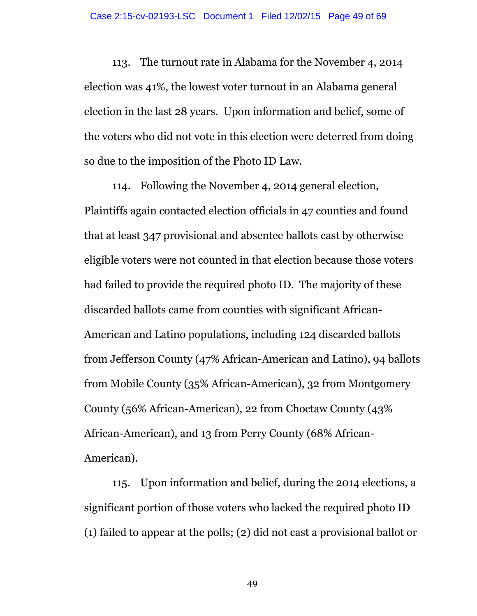113. The turnout rate in Alabama for the November 4, 2014 election was 41%, the lowest voter turnout in an Alabama general election in the last 28 years. Upon information and belief, some of the voters who did not vote in this election were deterred from doing so due to the imposition of the Photo ID Law.

114. Following the November 4, 2014 general election, Plaintiffs again contacted election officials in 47 counties and found that at least 347 provisional and absentee ballots cast by otherwise eligible voters were not counted in that election because those voters had failed to provide the required photo ID. The majority of these discarded ballots came from counties with significant African-American and Latino populations, including 124 discarded ballots from Jefferson County (47% African-American and Latino), 94 ballots from Mobile County (35% African-American), 32 from Montgomery County (56% African-American), 22 from Choctaw County (43% African-American), and 13 from Perry County (68% African-American).

115. Upon information and belief, during the 2014 elections, a significant portion of those voters who lacked the required photo ID (1) failed to appear at the polls; (2) did not cast a provisional ballot or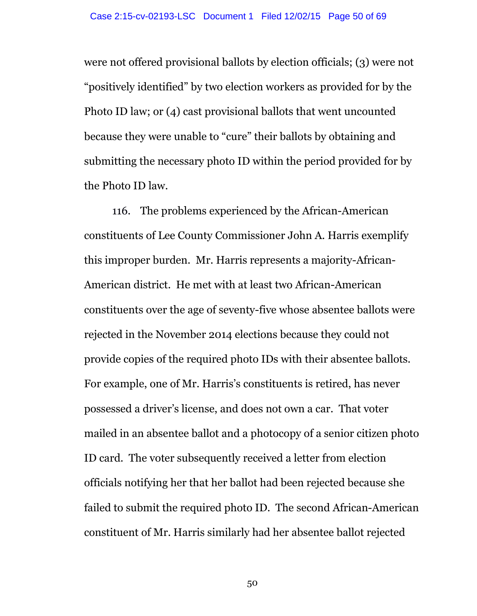were not offered provisional ballots by election officials; (3) were not "positively identified" by two election workers as provided for by the Photo ID law; or (4) cast provisional ballots that went uncounted because they were unable to "cure" their ballots by obtaining and submitting the necessary photo ID within the period provided for by the Photo ID law.

116. The problems experienced by the African-American constituents of Lee County Commissioner John A. Harris exemplify this improper burden. Mr. Harris represents a majority-African-American district. He met with at least two African-American constituents over the age of seventy-five whose absentee ballots were rejected in the November 2014 elections because they could not provide copies of the required photo IDs with their absentee ballots. For example, one of Mr. Harris's constituents is retired, has never possessed a driver's license, and does not own a car. That voter mailed in an absentee ballot and a photocopy of a senior citizen photo ID card. The voter subsequently received a letter from election officials notifying her that her ballot had been rejected because she failed to submit the required photo ID. The second African-American constituent of Mr. Harris similarly had her absentee ballot rejected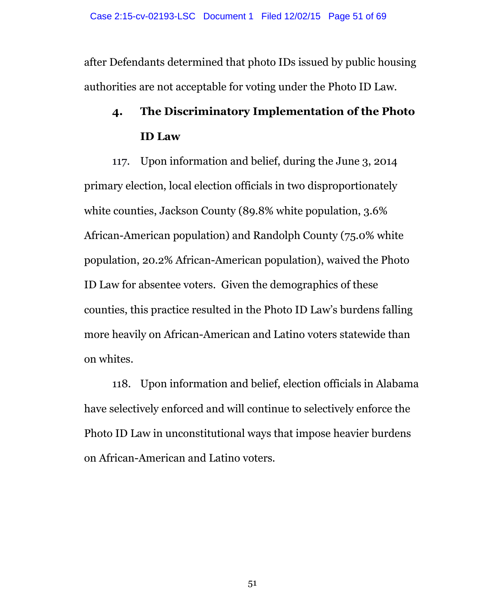after Defendants determined that photo IDs issued by public housing authorities are not acceptable for voting under the Photo ID Law.

# **4. The Discriminatory Implementation of the Photo ID Law**

117. Upon information and belief, during the June 3, 2014 primary election, local election officials in two disproportionately white counties, Jackson County (89.8% white population, 3.6% African-American population) and Randolph County (75.0% white population, 20.2% African-American population), waived the Photo ID Law for absentee voters. Given the demographics of these counties, this practice resulted in the Photo ID Law's burdens falling more heavily on African-American and Latino voters statewide than on whites.

118. Upon information and belief, election officials in Alabama have selectively enforced and will continue to selectively enforce the Photo ID Law in unconstitutional ways that impose heavier burdens on African-American and Latino voters.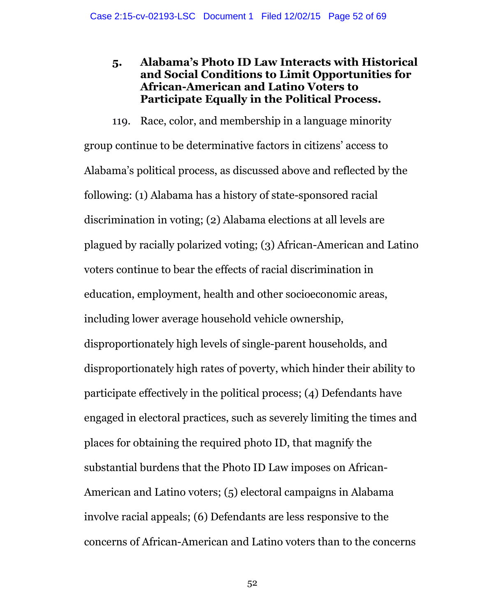## **5. Alabama's Photo ID Law Interacts with Historical and Social Conditions to Limit Opportunities for African-American and Latino Voters to Participate Equally in the Political Process.**

119. Race, color, and membership in a language minority group continue to be determinative factors in citizens' access to Alabama's political process, as discussed above and reflected by the following: (1) Alabama has a history of state-sponsored racial discrimination in voting; (2) Alabama elections at all levels are plagued by racially polarized voting; (3) African-American and Latino voters continue to bear the effects of racial discrimination in education, employment, health and other socioeconomic areas, including lower average household vehicle ownership, disproportionately high levels of single-parent households, and disproportionately high rates of poverty, which hinder their ability to participate effectively in the political process; (4) Defendants have engaged in electoral practices, such as severely limiting the times and places for obtaining the required photo ID, that magnify the substantial burdens that the Photo ID Law imposes on African-American and Latino voters; (5) electoral campaigns in Alabama involve racial appeals; (6) Defendants are less responsive to the concerns of African-American and Latino voters than to the concerns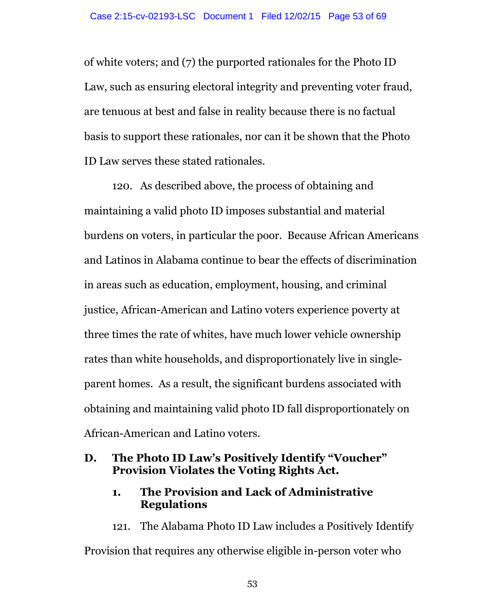of white voters; and (7) the purported rationales for the Photo ID Law, such as ensuring electoral integrity and preventing voter fraud, are tenuous at best and false in reality because there is no factual basis to support these rationales, nor can it be shown that the Photo ID Law serves these stated rationales.

120. As described above, the process of obtaining and maintaining a valid photo ID imposes substantial and material burdens on voters, in particular the poor. Because African Americans and Latinos in Alabama continue to bear the effects of discrimination in areas such as education, employment, housing, and criminal justice, African-American and Latino voters experience poverty at three times the rate of whites, have much lower vehicle ownership rates than white households, and disproportionately live in singleparent homes. As a result, the significant burdens associated with obtaining and maintaining valid photo ID fall disproportionately on African-American and Latino voters.

## **D. The Photo ID Law's Positively Identify "Voucher" Provision Violates the Voting Rights Act.**

## **1. The Provision and Lack of Administrative Regulations**

121. The Alabama Photo ID Law includes a Positively Identify Provision that requires any otherwise eligible in-person voter who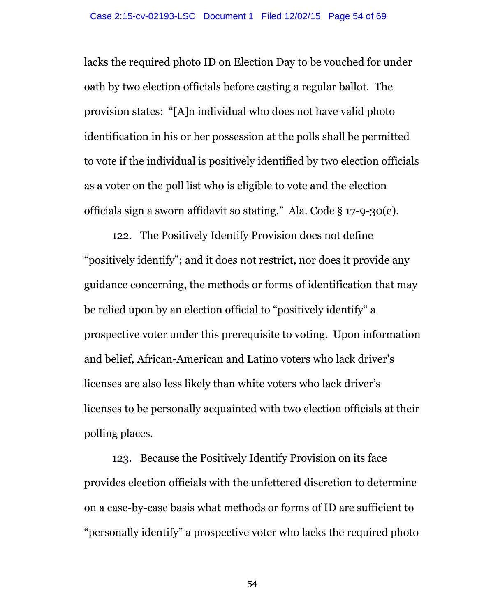lacks the required photo ID on Election Day to be vouched for under oath by two election officials before casting a regular ballot. The provision states: "[A]n individual who does not have valid photo identification in his or her possession at the polls shall be permitted to vote if the individual is positively identified by two election officials as a voter on the poll list who is eligible to vote and the election officials sign a sworn affidavit so stating." Ala. Code § 17-9-30(e).

122. The Positively Identify Provision does not define "positively identify"; and it does not restrict, nor does it provide any guidance concerning, the methods or forms of identification that may be relied upon by an election official to "positively identify" a prospective voter under this prerequisite to voting. Upon information and belief, African-American and Latino voters who lack driver's licenses are also less likely than white voters who lack driver's licenses to be personally acquainted with two election officials at their polling places.

123. Because the Positively Identify Provision on its face provides election officials with the unfettered discretion to determine on a case-by-case basis what methods or forms of ID are sufficient to "personally identify" a prospective voter who lacks the required photo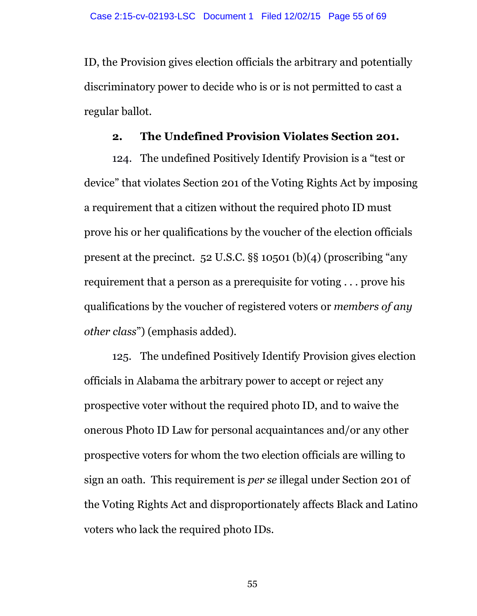ID, the Provision gives election officials the arbitrary and potentially discriminatory power to decide who is or is not permitted to cast a regular ballot.

#### **2. The Undefined Provision Violates Section 201.**

124. The undefined Positively Identify Provision is a "test or device" that violates Section 201 of the Voting Rights Act by imposing a requirement that a citizen without the required photo ID must prove his or her qualifications by the voucher of the election officials present at the precinct. 52 U.S.C. §§ 10501 (b)(4) (proscribing "any requirement that a person as a prerequisite for voting . . . prove his qualifications by the voucher of registered voters or *members of any other class*") (emphasis added).

125. The undefined Positively Identify Provision gives election officials in Alabama the arbitrary power to accept or reject any prospective voter without the required photo ID, and to waive the onerous Photo ID Law for personal acquaintances and/or any other prospective voters for whom the two election officials are willing to sign an oath. This requirement is *per se* illegal under Section 201 of the Voting Rights Act and disproportionately affects Black and Latino voters who lack the required photo IDs.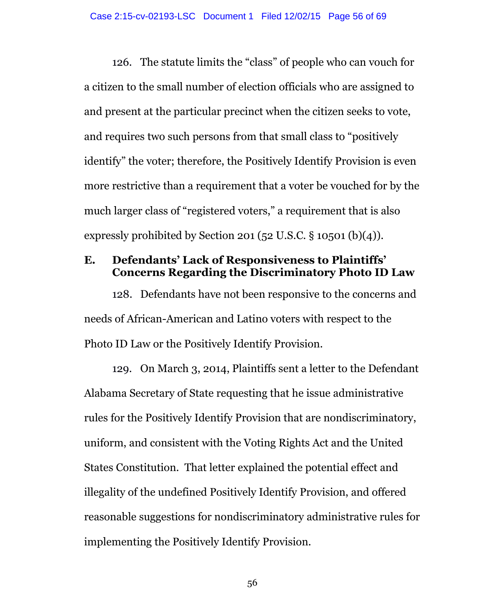126. The statute limits the "class" of people who can vouch for a citizen to the small number of election officials who are assigned to and present at the particular precinct when the citizen seeks to vote, and requires two such persons from that small class to "positively identify" the voter; therefore, the Positively Identify Provision is even more restrictive than a requirement that a voter be vouched for by the much larger class of "registered voters," a requirement that is also expressly prohibited by Section 201 (52 U.S.C.  $\S$  10501 (b)(4)).

## **E. Defendants' Lack of Responsiveness to Plaintiffs' Concerns Regarding the Discriminatory Photo ID Law**

128. Defendants have not been responsive to the concerns and needs of African-American and Latino voters with respect to the Photo ID Law or the Positively Identify Provision.

129. On March 3, 2014, Plaintiffs sent a letter to the Defendant Alabama Secretary of State requesting that he issue administrative rules for the Positively Identify Provision that are nondiscriminatory, uniform, and consistent with the Voting Rights Act and the United States Constitution. That letter explained the potential effect and illegality of the undefined Positively Identify Provision, and offered reasonable suggestions for nondiscriminatory administrative rules for implementing the Positively Identify Provision.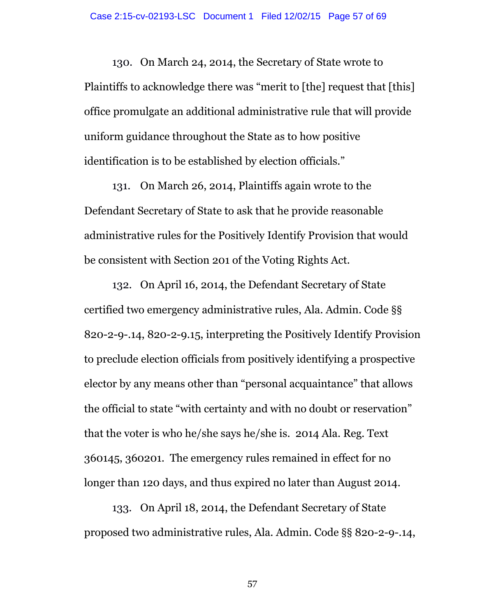130. On March 24, 2014, the Secretary of State wrote to Plaintiffs to acknowledge there was "merit to [the] request that [this] office promulgate an additional administrative rule that will provide uniform guidance throughout the State as to how positive identification is to be established by election officials."

131. On March 26, 2014, Plaintiffs again wrote to the Defendant Secretary of State to ask that he provide reasonable administrative rules for the Positively Identify Provision that would be consistent with Section 201 of the Voting Rights Act.

132. On April 16, 2014, the Defendant Secretary of State certified two emergency administrative rules, Ala. Admin. Code §§ 820-2-9-.14, 820-2-9.15, interpreting the Positively Identify Provision to preclude election officials from positively identifying a prospective elector by any means other than "personal acquaintance" that allows the official to state "with certainty and with no doubt or reservation" that the voter is who he/she says he/she is. 2014 Ala. Reg. Text 360145, 360201. The emergency rules remained in effect for no longer than 120 days, and thus expired no later than August 2014.

133. On April 18, 2014, the Defendant Secretary of State proposed two administrative rules, Ala. Admin. Code §§ 820-2-9-.14,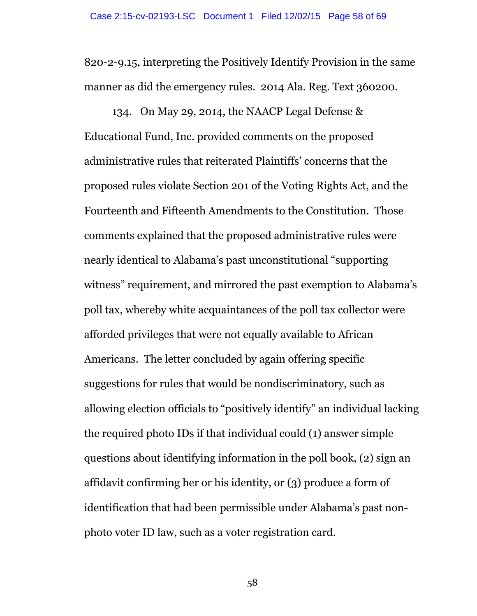820-2-9.15, interpreting the Positively Identify Provision in the same manner as did the emergency rules. 2014 Ala. Reg. Text 360200.

134. On May 29, 2014, the NAACP Legal Defense & Educational Fund, Inc. provided comments on the proposed administrative rules that reiterated Plaintiffs' concerns that the proposed rules violate Section 201 of the Voting Rights Act, and the Fourteenth and Fifteenth Amendments to the Constitution. Those comments explained that the proposed administrative rules were nearly identical to Alabama's past unconstitutional "supporting witness" requirement, and mirrored the past exemption to Alabama's poll tax, whereby white acquaintances of the poll tax collector were afforded privileges that were not equally available to African Americans. The letter concluded by again offering specific suggestions for rules that would be nondiscriminatory, such as allowing election officials to "positively identify" an individual lacking the required photo IDs if that individual could (1) answer simple questions about identifying information in the poll book, (2) sign an affidavit confirming her or his identity, or (3) produce a form of identification that had been permissible under Alabama's past nonphoto voter ID law, such as a voter registration card.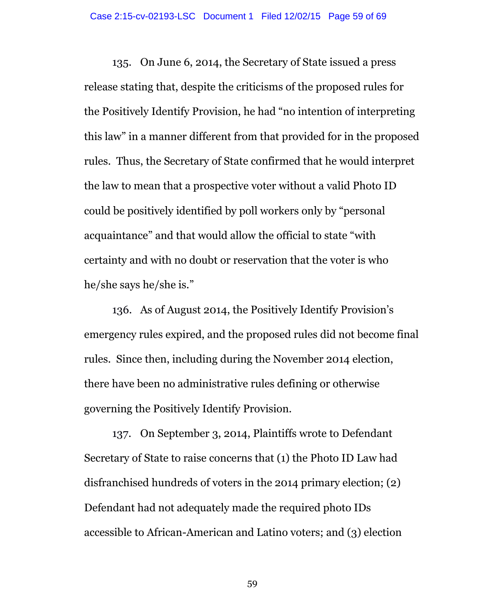135. On June 6, 2014, the Secretary of State issued a press release stating that, despite the criticisms of the proposed rules for the Positively Identify Provision, he had "no intention of interpreting this law" in a manner different from that provided for in the proposed rules. Thus, the Secretary of State confirmed that he would interpret the law to mean that a prospective voter without a valid Photo ID could be positively identified by poll workers only by "personal acquaintance" and that would allow the official to state "with certainty and with no doubt or reservation that the voter is who he/she says he/she is."

136. As of August 2014, the Positively Identify Provision's emergency rules expired, and the proposed rules did not become final rules. Since then, including during the November 2014 election, there have been no administrative rules defining or otherwise governing the Positively Identify Provision.

137. On September 3, 2014, Plaintiffs wrote to Defendant Secretary of State to raise concerns that (1) the Photo ID Law had disfranchised hundreds of voters in the 2014 primary election; (2) Defendant had not adequately made the required photo IDs accessible to African-American and Latino voters; and (3) election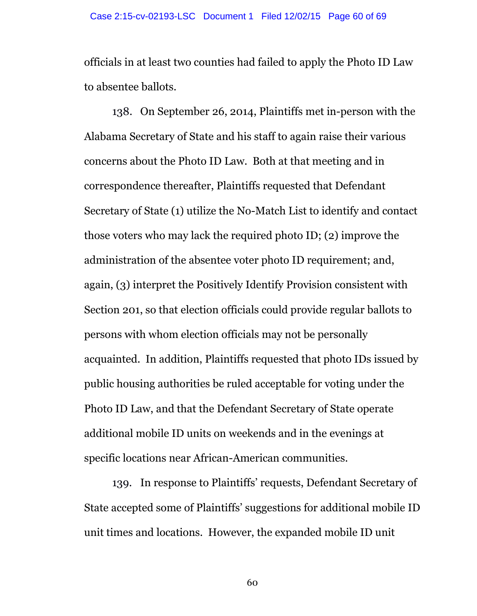officials in at least two counties had failed to apply the Photo ID Law to absentee ballots.

138. On September 26, 2014, Plaintiffs met in-person with the Alabama Secretary of State and his staff to again raise their various concerns about the Photo ID Law. Both at that meeting and in correspondence thereafter, Plaintiffs requested that Defendant Secretary of State (1) utilize the No-Match List to identify and contact those voters who may lack the required photo ID; (2) improve the administration of the absentee voter photo ID requirement; and, again, (3) interpret the Positively Identify Provision consistent with Section 201, so that election officials could provide regular ballots to persons with whom election officials may not be personally acquainted. In addition, Plaintiffs requested that photo IDs issued by public housing authorities be ruled acceptable for voting under the Photo ID Law, and that the Defendant Secretary of State operate additional mobile ID units on weekends and in the evenings at specific locations near African-American communities.

139. In response to Plaintiffs' requests, Defendant Secretary of State accepted some of Plaintiffs' suggestions for additional mobile ID unit times and locations. However, the expanded mobile ID unit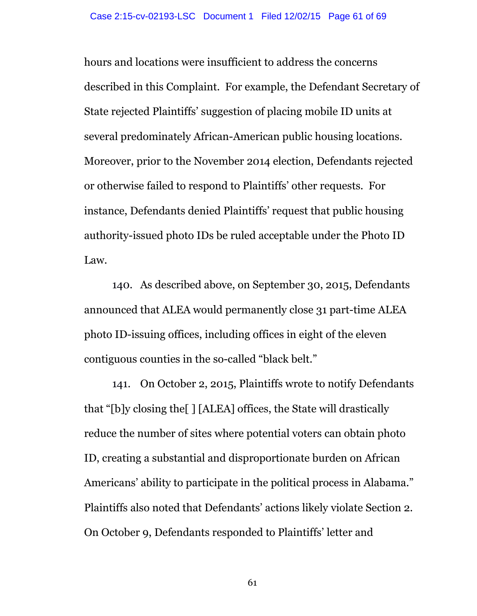hours and locations were insufficient to address the concerns described in this Complaint. For example, the Defendant Secretary of State rejected Plaintiffs' suggestion of placing mobile ID units at several predominately African-American public housing locations. Moreover, prior to the November 2014 election, Defendants rejected or otherwise failed to respond to Plaintiffs' other requests. For instance, Defendants denied Plaintiffs' request that public housing authority-issued photo IDs be ruled acceptable under the Photo ID Law.

140. As described above, on September 30, 2015, Defendants announced that ALEA would permanently close 31 part-time ALEA photo ID-issuing offices, including offices in eight of the eleven contiguous counties in the so-called "black belt."

141. On October 2, 2015, Plaintiffs wrote to notify Defendants that "[b]y closing the[ ] [ALEA] offices, the State will drastically reduce the number of sites where potential voters can obtain photo ID, creating a substantial and disproportionate burden on African Americans' ability to participate in the political process in Alabama." Plaintiffs also noted that Defendants' actions likely violate Section 2. On October 9, Defendants responded to Plaintiffs' letter and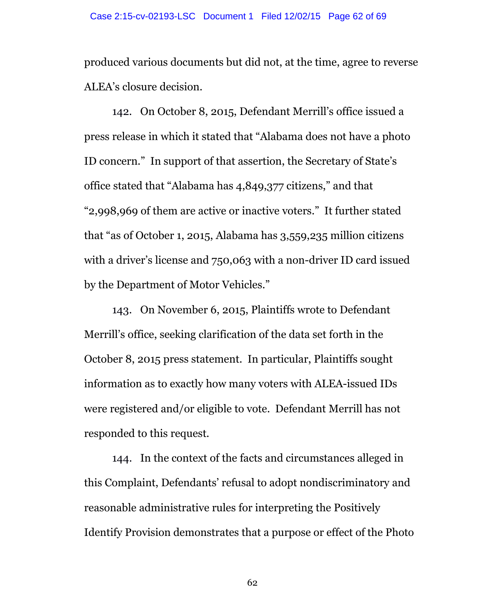produced various documents but did not, at the time, agree to reverse ALEA's closure decision.

142. On October 8, 2015, Defendant Merrill's office issued a press release in which it stated that "Alabama does not have a photo ID concern." In support of that assertion, the Secretary of State's office stated that "Alabama has 4,849,377 citizens," and that "2,998,969 of them are active or inactive voters." It further stated that "as of October 1, 2015, Alabama has 3,559,235 million citizens with a driver's license and 750,063 with a non-driver ID card issued by the Department of Motor Vehicles."

143. On November 6, 2015, Plaintiffs wrote to Defendant Merrill's office, seeking clarification of the data set forth in the October 8, 2015 press statement. In particular, Plaintiffs sought information as to exactly how many voters with ALEA-issued IDs were registered and/or eligible to vote. Defendant Merrill has not responded to this request.

144. In the context of the facts and circumstances alleged in this Complaint, Defendants' refusal to adopt nondiscriminatory and reasonable administrative rules for interpreting the Positively Identify Provision demonstrates that a purpose or effect of the Photo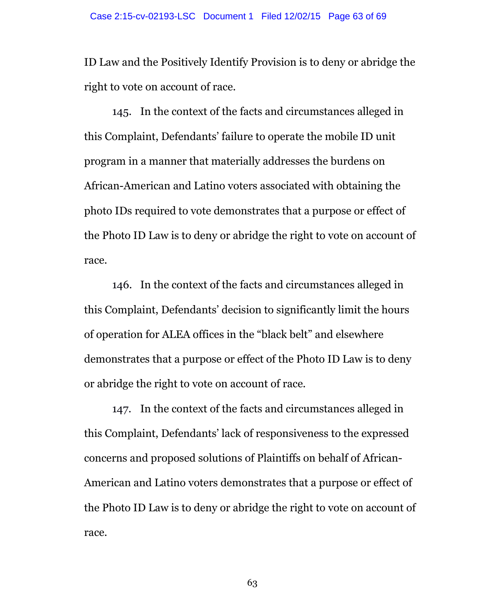ID Law and the Positively Identify Provision is to deny or abridge the right to vote on account of race.

145. In the context of the facts and circumstances alleged in this Complaint, Defendants' failure to operate the mobile ID unit program in a manner that materially addresses the burdens on African-American and Latino voters associated with obtaining the photo IDs required to vote demonstrates that a purpose or effect of the Photo ID Law is to deny or abridge the right to vote on account of race.

146. In the context of the facts and circumstances alleged in this Complaint, Defendants' decision to significantly limit the hours of operation for ALEA offices in the "black belt" and elsewhere demonstrates that a purpose or effect of the Photo ID Law is to deny or abridge the right to vote on account of race.

147. In the context of the facts and circumstances alleged in this Complaint, Defendants' lack of responsiveness to the expressed concerns and proposed solutions of Plaintiffs on behalf of African-American and Latino voters demonstrates that a purpose or effect of the Photo ID Law is to deny or abridge the right to vote on account of race.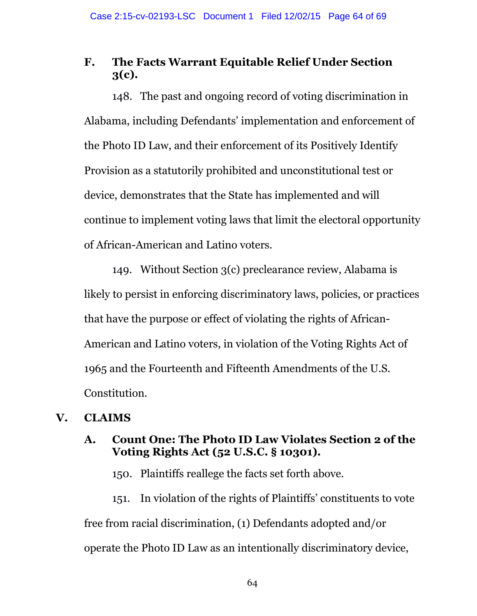# **F. The Facts Warrant Equitable Relief Under Section 3(c).**

148. The past and ongoing record of voting discrimination in Alabama, including Defendants' implementation and enforcement of the Photo ID Law, and their enforcement of its Positively Identify Provision as a statutorily prohibited and unconstitutional test or device, demonstrates that the State has implemented and will continue to implement voting laws that limit the electoral opportunity of African-American and Latino voters.

149. Without Section 3(c) preclearance review, Alabama is likely to persist in enforcing discriminatory laws, policies, or practices that have the purpose or effect of violating the rights of African-American and Latino voters, in violation of the Voting Rights Act of 1965 and the Fourteenth and Fifteenth Amendments of the U.S. Constitution.

# **V. CLAIMS**

## **A. Count One: The Photo ID Law Violates Section 2 of the Voting Rights Act (52 U.S.C. § 10301).**

150. Plaintiffs reallege the facts set forth above.

151. In violation of the rights of Plaintiffs' constituents to vote free from racial discrimination, (1) Defendants adopted and/or operate the Photo ID Law as an intentionally discriminatory device,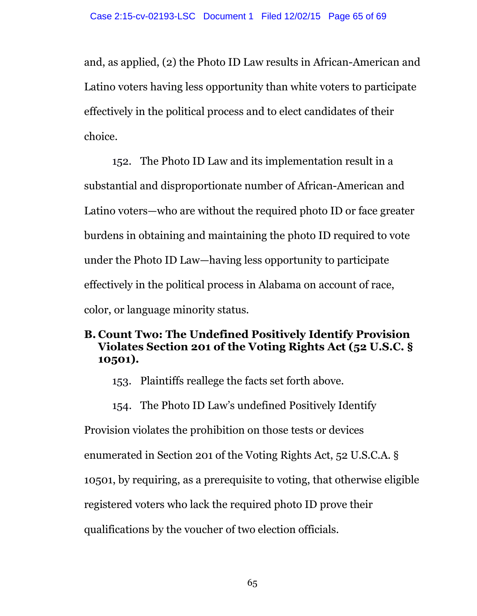and, as applied, (2) the Photo ID Law results in African-American and Latino voters having less opportunity than white voters to participate effectively in the political process and to elect candidates of their choice.

152. The Photo ID Law and its implementation result in a substantial and disproportionate number of African-American and Latino voters—who are without the required photo ID or face greater burdens in obtaining and maintaining the photo ID required to vote under the Photo ID Law—having less opportunity to participate effectively in the political process in Alabama on account of race, color, or language minority status.

## **B. Count Two: The Undefined Positively Identify Provision Violates Section 201 of the Voting Rights Act (52 U.S.C. § 10501).**

153. Plaintiffs reallege the facts set forth above.

154. The Photo ID Law's undefined Positively Identify

Provision violates the prohibition on those tests or devices

enumerated in Section 201 of the Voting Rights Act, 52 U.S.C.A. §

10501, by requiring, as a prerequisite to voting, that otherwise eligible

registered voters who lack the required photo ID prove their

qualifications by the voucher of two election officials.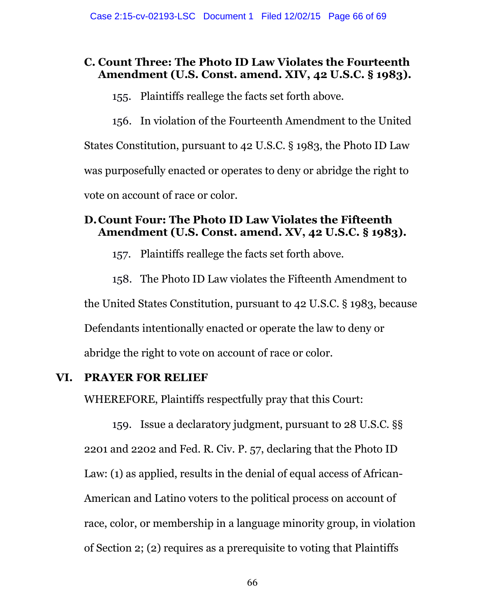# **C. Count Three: The Photo ID Law Violates the Fourteenth Amendment (U.S. Const. amend. XIV, 42 U.S.C. § 1983).**

155. Plaintiffs reallege the facts set forth above.

156. In violation of the Fourteenth Amendment to the United States Constitution, pursuant to 42 U.S.C. § 1983, the Photo ID Law was purposefully enacted or operates to deny or abridge the right to vote on account of race or color.

## **D.Count Four: The Photo ID Law Violates the Fifteenth Amendment (U.S. Const. amend. XV, 42 U.S.C. § 1983).**

- 157. Plaintiffs reallege the facts set forth above.
- 158. The Photo ID Law violates the Fifteenth Amendment to

the United States Constitution, pursuant to 42 U.S.C. § 1983, because

Defendants intentionally enacted or operate the law to deny or

abridge the right to vote on account of race or color.

# **VI. PRAYER FOR RELIEF**

WHEREFORE, Plaintiffs respectfully pray that this Court:

159. Issue a declaratory judgment, pursuant to 28 U.S.C. §§ 2201 and 2202 and Fed. R. Civ. P. 57, declaring that the Photo ID Law: (1) as applied, results in the denial of equal access of African-American and Latino voters to the political process on account of race, color, or membership in a language minority group, in violation of Section 2; (2) requires as a prerequisite to voting that Plaintiffs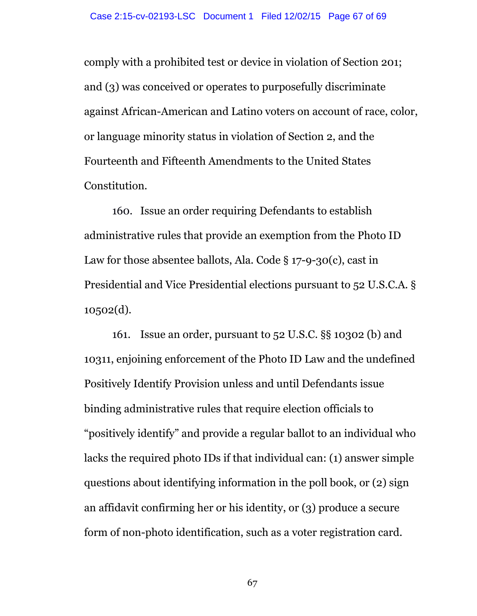comply with a prohibited test or device in violation of Section 201; and (3) was conceived or operates to purposefully discriminate against African-American and Latino voters on account of race, color, or language minority status in violation of Section 2, and the Fourteenth and Fifteenth Amendments to the United States Constitution.

160. Issue an order requiring Defendants to establish administrative rules that provide an exemption from the Photo ID Law for those absentee ballots, Ala. Code § 17-9-30(c), cast in Presidential and Vice Presidential elections pursuant to 52 U.S.C.A. § 10502(d).

161. Issue an order, pursuant to 52 U.S.C. §§ 10302 (b) and 10311, enjoining enforcement of the Photo ID Law and the undefined Positively Identify Provision unless and until Defendants issue binding administrative rules that require election officials to "positively identify" and provide a regular ballot to an individual who lacks the required photo IDs if that individual can: (1) answer simple questions about identifying information in the poll book, or (2) sign an affidavit confirming her or his identity, or (3) produce a secure form of non-photo identification, such as a voter registration card.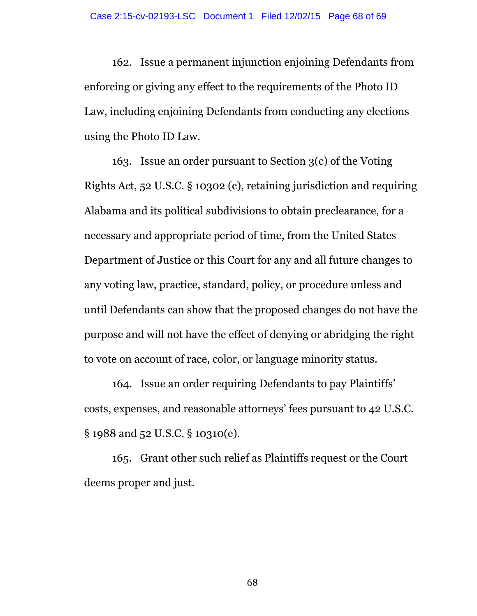162. Issue a permanent injunction enjoining Defendants from enforcing or giving any effect to the requirements of the Photo ID Law, including enjoining Defendants from conducting any elections using the Photo ID Law.

163. Issue an order pursuant to Section 3(c) of the Voting Rights Act, 52 U.S.C. § 10302 (c), retaining jurisdiction and requiring Alabama and its political subdivisions to obtain preclearance, for a necessary and appropriate period of time, from the United States Department of Justice or this Court for any and all future changes to any voting law, practice, standard, policy, or procedure unless and until Defendants can show that the proposed changes do not have the purpose and will not have the effect of denying or abridging the right to vote on account of race, color, or language minority status.

164. Issue an order requiring Defendants to pay Plaintiffs' costs, expenses, and reasonable attorneys' fees pursuant to 42 U.S.C. § 1988 and 52 U.S.C. § 10310(e).

165. Grant other such relief as Plaintiffs request or the Court deems proper and just.